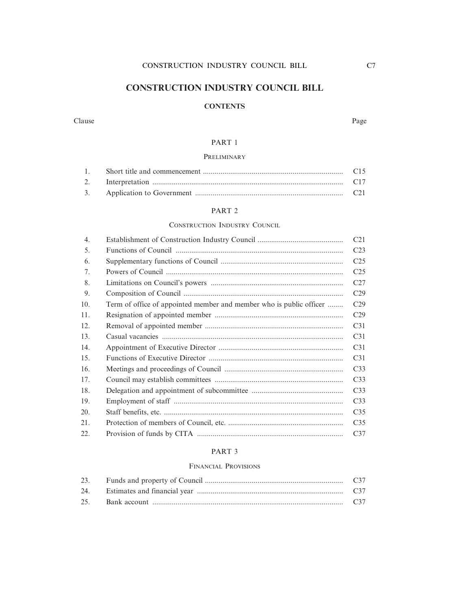### **CONSTRUCTION INDUSTRY COUNCIL BILL**

### **CONTENTS**

#### Clause Page

### PART 1

### **PRELIMINARY**

### PART 2

#### CONSTRUCTION INDUSTRY COUNCIL

|                                                                     | C <sub>21</sub> |
|---------------------------------------------------------------------|-----------------|
|                                                                     | C <sub>23</sub> |
|                                                                     | C <sub>25</sub> |
|                                                                     | C <sub>25</sub> |
|                                                                     | C27             |
|                                                                     | C <sub>29</sub> |
| Term of office of appointed member and member who is public officer | C <sub>29</sub> |
|                                                                     | C <sub>29</sub> |
|                                                                     | C <sub>31</sub> |
|                                                                     | C <sub>31</sub> |
|                                                                     | C <sub>31</sub> |
|                                                                     | C <sub>31</sub> |
|                                                                     | C <sub>33</sub> |
|                                                                     | C <sub>33</sub> |
|                                                                     | C <sub>33</sub> |
|                                                                     | C <sub>33</sub> |
|                                                                     | C <sub>35</sub> |
|                                                                     | C <sub>35</sub> |
|                                                                     | C <sub>37</sub> |
|                                                                     |                 |

#### PART 3

#### FINANCIAL PROVISIONS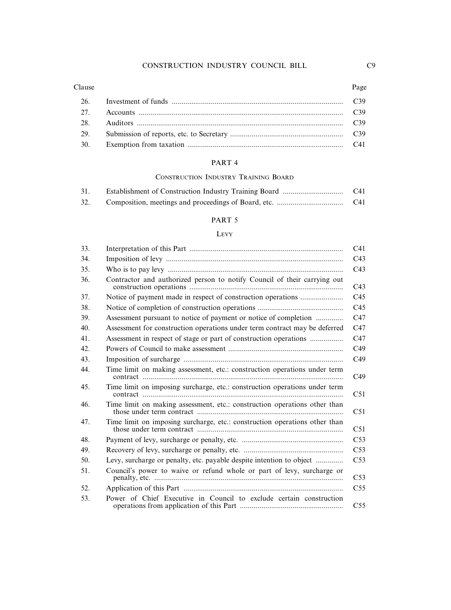#### Clause Page

| 29. |  |
|-----|--|
| 30. |  |

### PART 4

### CONSTRUCTION INDUSTRY TRAINING BOARD

| 31. | C41 |
|-----|-----|
| 32. | C41 |

### PART 5

#### LEVY

| 33. |                                                                            | C <sub>41</sub> |
|-----|----------------------------------------------------------------------------|-----------------|
| 34. |                                                                            | C <sub>43</sub> |
| 35. |                                                                            | C43             |
| 36. | Contractor and authorized person to notify Council of their carrying out   | C43             |
| 37. |                                                                            | C <sub>45</sub> |
| 38. |                                                                            | C45             |
| 39. | Assessment pursuant to notice of payment or notice of completion           | C47             |
| 40. | Assessment for construction operations under term contract may be deferred | C47             |
| 41. | Assessment in respect of stage or part of construction operations          | C47             |
| 42. |                                                                            | C49             |
| 43. |                                                                            | C49             |
| 44. | Time limit on making assessment, etc.: construction operations under term  | C <sub>49</sub> |
| 45. | Time limit on imposing surcharge, etc.: construction operations under term | C51             |
| 46. | Time limit on making assessment, etc.: construction operations other than  | C51             |
| 47. | Time limit on imposing surcharge, etc.: construction operations other than | C51             |
| 48. |                                                                            | C53             |
| 49. |                                                                            | C <sub>53</sub> |
| 50. | Levy, surcharge or penalty, etc. payable despite intention to object       | C53             |
| 51. | Council's power to waive or refund whole or part of levy, surcharge or     | C53             |
| 52. |                                                                            | C <sub>55</sub> |
| 53. | Power of Chief Executive in Council to exclude certain construction        | C <sub>55</sub> |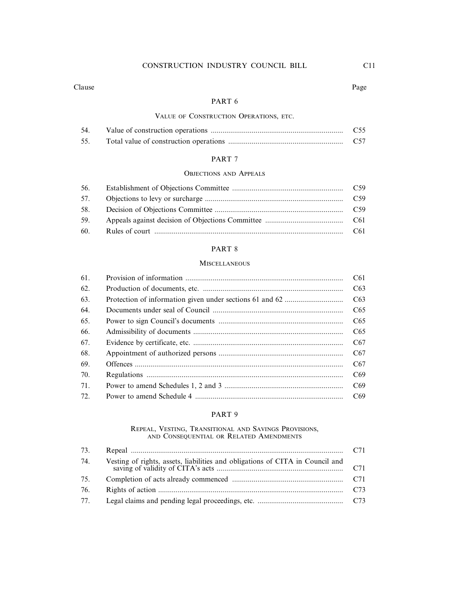#### Clause Page

#### PART 6

#### VALUE OF CONSTRUCTION OPERATIONS, ETC.

| 54. | C <sub>55</sub> |
|-----|-----------------|
| 55. | C <sub>57</sub> |

### PART 7

#### OBJECTIONS AND APPEALS

| 56. |  |
|-----|--|
|     |  |
|     |  |
| 59. |  |
|     |  |

### PART 8

#### **MISCELLANEOUS**

| C61             |
|-----------------|
| C63             |
| C63             |
| C65             |
| C65             |
| C65             |
| C67             |
| C67             |
| C <sub>67</sub> |
| C69             |
| C69             |
| C69             |
|                 |

#### PART 9

# REPEAL, VESTING, TRANSITIONAL AND SAVINGS PROVISIONS, AND CONSEQUENTIAL OR RELATED AMENDMENTS

| 73. |  |
|-----|--|
| 74. |  |
| 75. |  |
| 76. |  |
| 77. |  |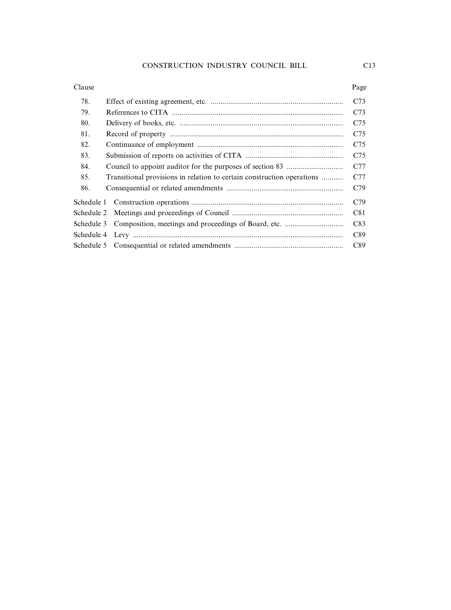## 78. Effect of existing agreement, etc. .................................................................... C73 79. References to CITA ........................................................................................ C73 80. Delivery of books, etc. .................................................................................... C75 81. Record of property ......................................................................................... C75 82. Continuance of employment ........................................................................... C75 83. Submission of reports on activities of CITA .................................................. C75 84. Council to appoint auditor for the purposes of section 83 ............................. C77 85. Transitional provisions in relation to certain construction operations ........... C77 86. Consequential or related amendments ............................................................ C79 Schedule 1 Construction operations .............................................................................. C79 Schedule 2 Meetings and proceedings of Council ......................................................... C81 Schedule 3 Composition, meetings and proceedings of Board, etc. .............................. C83 Schedule 4 Levy ............................................................................................................ C89 Schedule 5 Consequential or related amendments ........................................................ C89 Clause Page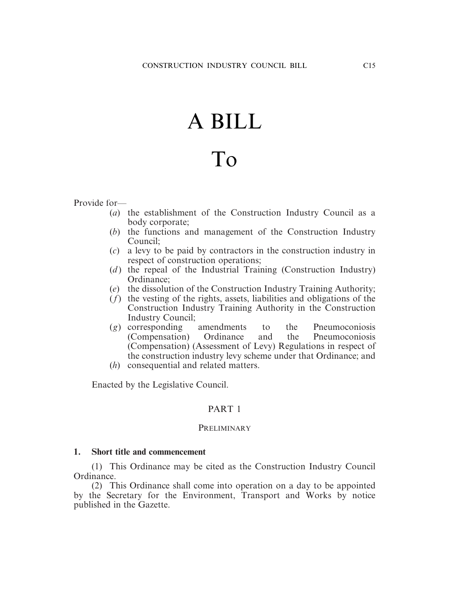# A BILL

# To

Provide for—

- (*a*) the establishment of the Construction Industry Council as a body corporate;
- (*b*) the functions and management of the Construction Industry Council;
- (*c*) a levy to be paid by contractors in the construction industry in respect of construction operations;
- (*d*) the repeal of the Industrial Training (Construction Industry) Ordinance;
- (*e*) the dissolution of the Construction Industry Training Authority;
- (*f*) the vesting of the rights, assets, liabilities and obligations of the Construction Industry Training Authority in the Construction Industry Council;
- (*g*) corresponding amendments to the Pneumoconiosis (Compensation) Ordinance and the Pneumoconiosis (Compensation) (Assessment of Levy) Regulations in respect of the construction industry levy scheme under that Ordinance; and
- (*h*) consequential and related matters.

Enacted by the Legislative Council.

### PART 1

### **PRELIMINARY**

### **1. Short title and commencement**

(1) This Ordinance may be cited as the Construction Industry Council Ordinance.

(2) This Ordinance shall come into operation on a day to be appointed by the Secretary for the Environment, Transport and Works by notice published in the Gazette.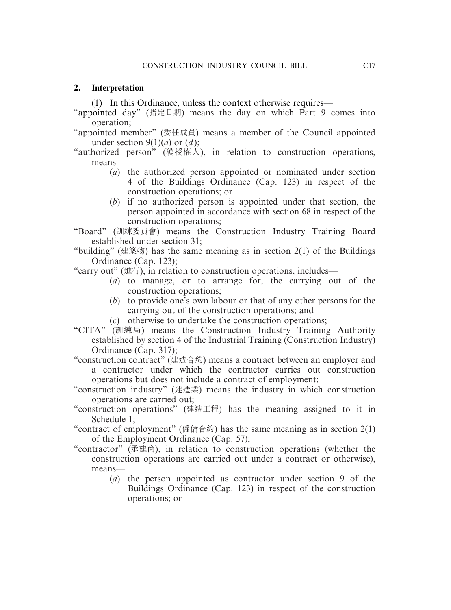### **2. Interpretation**

(1) In this Ordinance, unless the context otherwise requires—

- "appointed day" (指定日期) means the day on which Part 9 comes into operation;
- "appointed member" (委任成員) means a member of the Council appointed under section  $9(1)(a)$  or  $(d)$ ;
- "authorized person" (獲授權人), in relation to construction operations, means—
	- (*a*) the authorized person appointed or nominated under section 4 of the Buildings Ordinance (Cap. 123) in respect of the construction operations; or
	- (*b*) if no authorized person is appointed under that section, the person appointed in accordance with section 68 in respect of the construction operations;

"Board" (訓練委員會) means the Construction Industry Training Board established under section 31;

"building" (建築物) has the same meaning as in section  $2(1)$  of the Buildings Ordinance (Cap. 123);

"carry out" (進行), in relation to construction operations, includes—

- (*a*) to manage, or to arrange for, the carrying out of the construction operations;
- (*b*) to provide one's own labour or that of any other persons for the carrying out of the construction operations; and
- (*c*) otherwise to undertake the construction operations;
- "CITA" (訓練局) means the Construction Industry Training Authority established by section 4 of the Industrial Training (Construction Industry) Ordinance (Cap. 317);
- "construction contract" (建造合約) means a contract between an employer and a contractor under which the contractor carries out construction operations but does not include a contract of employment;
- "construction industry" (建造業) means the industry in which construction operations are carried out;
- "construction operations" (建造工程) has the meaning assigned to it in Schedule 1;
- "contract of employment" (僱傭合約) has the same meaning as in section 2(1) of the Employment Ordinance (Cap. 57);
- "contractor" (承建商), in relation to construction operations (whether the construction operations are carried out under a contract or otherwise), means—
	- (*a*) the person appointed as contractor under section 9 of the Buildings Ordinance (Cap. 123) in respect of the construction operations; or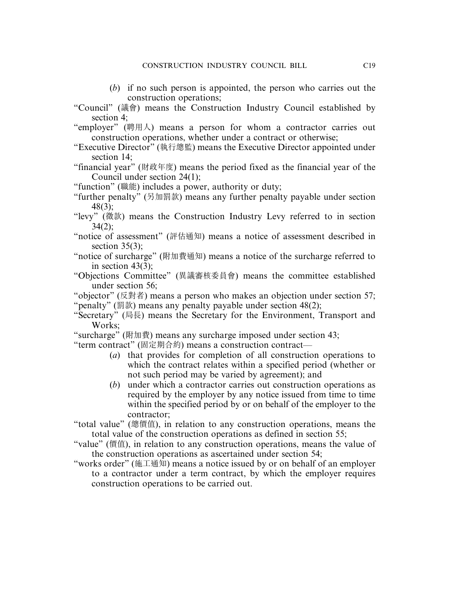- (*b*) if no such person is appointed, the person who carries out the construction operations;
- "Council" (議會) means the Construction Industry Council established by section 4;
- "employer" (聘用人) means a person for whom a contractor carries out construction operations, whether under a contract or otherwise;
- "Executive Director" (執行總監) means the Executive Director appointed under section 14;
- "financial year" (財政年度) means the period fixed as the financial year of the Council under section 24(1);
- "function" (職能) includes a power, authority or duty;
- "further penalty" (另加罰款) means any further penalty payable under section 48(3);
- "levy" (徵款) means the Construction Industry Levy referred to in section  $34(2)$ :
- "notice of assessment" (評估通知) means a notice of assessment described in section  $35(3)$ ;
- "notice of surcharge" (附加費通知) means a notice of the surcharge referred to in section  $43(3)$ ;
- "Objections Committee" (異議審核委員會) means the committee established under section 56;
- "objector" (反對者) means a person who makes an objection under section 57; "penalty" (罰款) means any penalty payable under section 48(2);
- "Secretary" (局長) means the Secretary for the Environment, Transport and Works;
- "surcharge" (附加費) means any surcharge imposed under section 43;
- "term contract" (固定期合約) means a construction contract—
	- (*a*) that provides for completion of all construction operations to which the contract relates within a specified period (whether or not such period may be varied by agreement); and
	- (*b*) under which a contractor carries out construction operations as required by the employer by any notice issued from time to time within the specified period by or on behalf of the employer to the contractor;
- "total value" (總價值), in relation to any construction operations, means the total value of the construction operations as defined in section 55;
- "value" (價值), in relation to any construction operations, means the value of the construction operations as ascertained under section 54;
- "works order" (施工通知) means a notice issued by or on behalf of an employer to a contractor under a term contract, by which the employer requires construction operations to be carried out.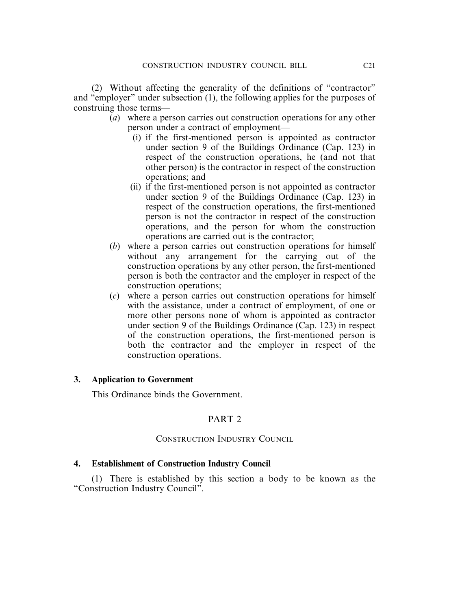(2) Without affecting the generality of the definitions of "contractor" and "employer" under subsection (1), the following applies for the purposes of construing those terms—

- (*a*) where a person carries out construction operations for any other person under a contract of employment—
	- (i) if the first-mentioned person is appointed as contractor under section 9 of the Buildings Ordinance (Cap. 123) in respect of the construction operations, he (and not that other person) is the contractor in respect of the construction operations; and
	- (ii) if the first-mentioned person is not appointed as contractor under section 9 of the Buildings Ordinance (Cap. 123) in respect of the construction operations, the first-mentioned person is not the contractor in respect of the construction operations, and the person for whom the construction operations are carried out is the contractor;
- (*b*) where a person carries out construction operations for himself without any arrangement for the carrying out of the construction operations by any other person, the first-mentioned person is both the contractor and the employer in respect of the construction operations;
- (*c*) where a person carries out construction operations for himself with the assistance, under a contract of employment, of one or more other persons none of whom is appointed as contractor under section 9 of the Buildings Ordinance (Cap. 123) in respect of the construction operations, the first-mentioned person is both the contractor and the employer in respect of the construction operations.

### **3. Application to Government**

This Ordinance binds the Government.

## PART 2

### CONSTRUCTION INDUSTRY COUNCIL

### **4. Establishment of Construction Industry Council**

(1) There is established by this section a body to be known as the "Construction Industry Council".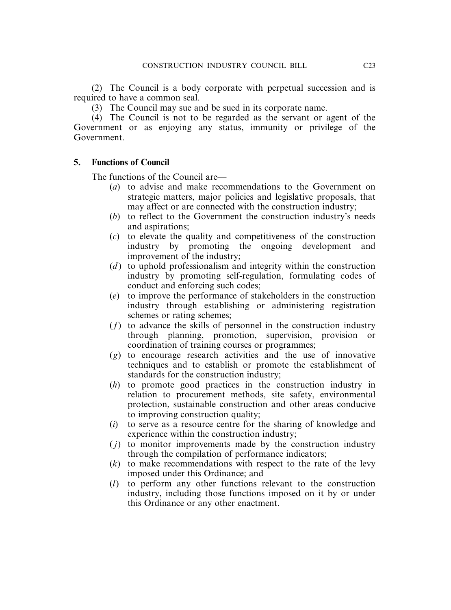(2) The Council is a body corporate with perpetual succession and is required to have a common seal.

(3) The Council may sue and be sued in its corporate name.

(4) The Council is not to be regarded as the servant or agent of the Government or as enjoying any status, immunity or privilege of the Government.

### **5. Functions of Council**

The functions of the Council are—

- (*a*) to advise and make recommendations to the Government on strategic matters, major policies and legislative proposals, that may affect or are connected with the construction industry;
- (*b*) to reflect to the Government the construction industry's needs and aspirations;
- (*c*) to elevate the quality and competitiveness of the construction industry by promoting the ongoing development and improvement of the industry;
- (*d*) to uphold professionalism and integrity within the construction industry by promoting self-regulation, formulating codes of conduct and enforcing such codes;
- (*e*) to improve the performance of stakeholders in the construction industry through establishing or administering registration schemes or rating schemes;
- (*f*) to advance the skills of personnel in the construction industry through planning, promotion, supervision, provision or coordination of training courses or programmes;
- (*g*) to encourage research activities and the use of innovative techniques and to establish or promote the establishment of standards for the construction industry;
- (*h*) to promote good practices in the construction industry in relation to procurement methods, site safety, environmental protection, sustainable construction and other areas conducive to improving construction quality;
- (*i*) to serve as a resource centre for the sharing of knowledge and experience within the construction industry;
- ( *j*) to monitor improvements made by the construction industry through the compilation of performance indicators;
- (*k*) to make recommendations with respect to the rate of the levy imposed under this Ordinance; and
- (*l*) to perform any other functions relevant to the construction industry, including those functions imposed on it by or under this Ordinance or any other enactment.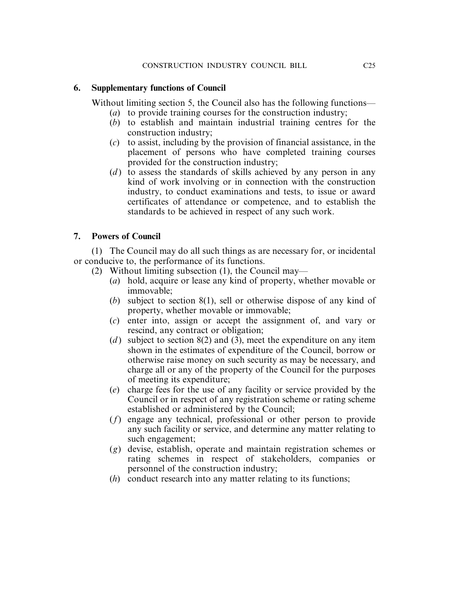### **6. Supplementary functions of Council**

Without limiting section 5, the Council also has the following functions—

- (*a*) to provide training courses for the construction industry;
- (*b*) to establish and maintain industrial training centres for the construction industry;
- (*c*) to assist, including by the provision of financial assistance, in the placement of persons who have completed training courses provided for the construction industry;
- (*d*) to assess the standards of skills achieved by any person in any kind of work involving or in connection with the construction industry, to conduct examinations and tests, to issue or award certificates of attendance or competence, and to establish the standards to be achieved in respect of any such work.

## **7. Powers of Council**

(1) The Council may do all such things as are necessary for, or incidental or conducive to, the performance of its functions.

- (2) Without limiting subsection (1), the Council may—
	- (*a*) hold, acquire or lease any kind of property, whether movable or immovable;
	- (*b*) subject to section 8(1), sell or otherwise dispose of any kind of property, whether movable or immovable;
	- (*c*) enter into, assign or accept the assignment of, and vary or rescind, any contract or obligation;
	- (*d*) subject to section  $8(2)$  and (3), meet the expenditure on any item shown in the estimates of expenditure of the Council, borrow or otherwise raise money on such security as may be necessary, and charge all or any of the property of the Council for the purposes of meeting its expenditure;
	- (*e*) charge fees for the use of any facility or service provided by the Council or in respect of any registration scheme or rating scheme established or administered by the Council;
	- (*f*) engage any technical, professional or other person to provide any such facility or service, and determine any matter relating to such engagement;
	- (*g*) devise, establish, operate and maintain registration schemes or rating schemes in respect of stakeholders, companies or personnel of the construction industry;
	- (*h*) conduct research into any matter relating to its functions;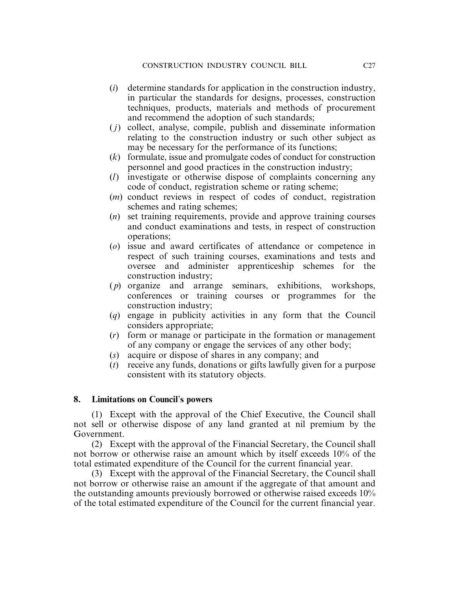- (*i*) determine standards for application in the construction industry, in particular the standards for designs, processes, construction techniques, products, materials and methods of procurement and recommend the adoption of such standards;
- ( *j*) collect, analyse, compile, publish and disseminate information relating to the construction industry or such other subject as may be necessary for the performance of its functions;
- (*k*) formulate, issue and promulgate codes of conduct for construction personnel and good practices in the construction industry;
- (*l*) investigate or otherwise dispose of complaints concerning any code of conduct, registration scheme or rating scheme;
- (*m*) conduct reviews in respect of codes of conduct, registration schemes and rating schemes;
- (*n*) set training requirements, provide and approve training courses and conduct examinations and tests, in respect of construction operations;
- (*o*) issue and award certificates of attendance or competence in respect of such training courses, examinations and tests and oversee and administer apprenticeship schemes for the construction industry;
- ( *p*) organize and arrange seminars, exhibitions, workshops, conferences or training courses or programmes for the construction industry;
- (*q*) engage in publicity activities in any form that the Council considers appropriate;
- (*r*) form or manage or participate in the formation or management of any company or engage the services of any other body;
- (*s*) acquire or dispose of shares in any company; and
- (*t*) receive any funds, donations or gifts lawfully given for a purpose consistent with its statutory objects.

### **8. Limitations on Council**'**s powers**

(1) Except with the approval of the Chief Executive, the Council shall not sell or otherwise dispose of any land granted at nil premium by the Government.

(2) Except with the approval of the Financial Secretary, the Council shall not borrow or otherwise raise an amount which by itself exceeds 10% of the total estimated expenditure of the Council for the current financial year.

(3) Except with the approval of the Financial Secretary, the Council shall not borrow or otherwise raise an amount if the aggregate of that amount and the outstanding amounts previously borrowed or otherwise raised exceeds 10% of the total estimated expenditure of the Council for the current financial year.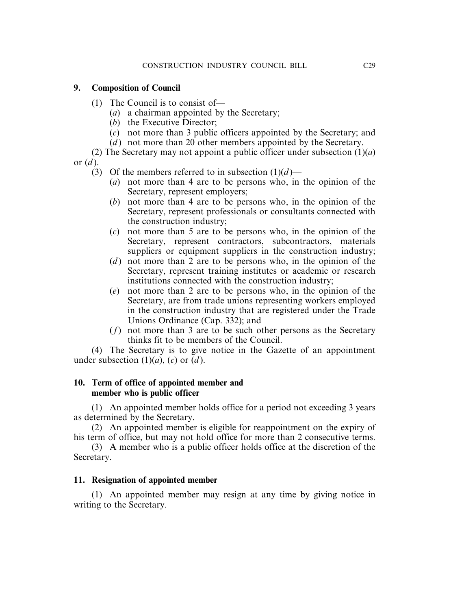### **9. Composition of Council**

- (1) The Council is to consist of—
	- (*a*) a chairman appointed by the Secretary;
	- (*b*) the Executive Director;
	- (*c*) not more than 3 public officers appointed by the Secretary; and
	- (*d*) not more than 20 other members appointed by the Secretary.

(2) The Secretary may not appoint a public officer under subsection  $(1)(a)$ or (*d* ).

- (3) Of the members referred to in subsection  $(1)(d)$ 
	- (*a*) not more than 4 are to be persons who, in the opinion of the Secretary, represent employers;
	- (*b*) not more than 4 are to be persons who, in the opinion of the Secretary, represent professionals or consultants connected with the construction industry;
	- (*c*) not more than 5 are to be persons who, in the opinion of the Secretary, represent contractors, subcontractors, materials suppliers or equipment suppliers in the construction industry;
	- (*d* ) not more than 2 are to be persons who, in the opinion of the Secretary, represent training institutes or academic or research institutions connected with the construction industry;
	- (*e*) not more than 2 are to be persons who, in the opinion of the Secretary, are from trade unions representing workers employed in the construction industry that are registered under the Trade Unions Ordinance (Cap. 332); and
	- (*f*) not more than 3 are to be such other persons as the Secretary thinks fit to be members of the Council.

(4) The Secretary is to give notice in the Gazette of an appointment under subsection  $(1)(a)$ ,  $(c)$  or  $(d)$ .

### **10. Term of office of appointed member and member who is public officer**

(1) An appointed member holds office for a period not exceeding 3 years as determined by the Secretary.

(2) An appointed member is eligible for reappointment on the expiry of his term of office, but may not hold office for more than 2 consecutive terms.

(3) A member who is a public officer holds office at the discretion of the Secretary.

### **11. Resignation of appointed member**

(1) An appointed member may resign at any time by giving notice in writing to the Secretary.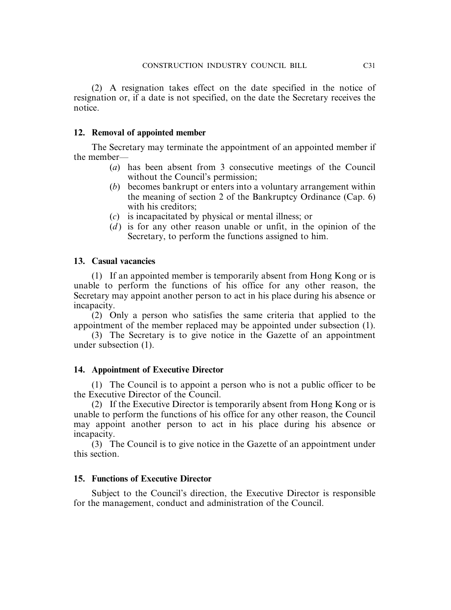(2) A resignation takes effect on the date specified in the notice of resignation or, if a date is not specified, on the date the Secretary receives the notice.

### **12. Removal of appointed member**

The Secretary may terminate the appointment of an appointed member if the member—

- (*a*) has been absent from 3 consecutive meetings of the Council without the Council's permission;
- (*b*) becomes bankrupt or enters into a voluntary arrangement within the meaning of section 2 of the Bankruptcy Ordinance (Cap. 6) with his creditors;
- (*c*) is incapacitated by physical or mental illness; or
- (*d* ) is for any other reason unable or unfit, in the opinion of the Secretary, to perform the functions assigned to him.

### **13. Casual vacancies**

(1) If an appointed member is temporarily absent from Hong Kong or is unable to perform the functions of his office for any other reason, the Secretary may appoint another person to act in his place during his absence or incapacity.

(2) Only a person who satisfies the same criteria that applied to the appointment of the member replaced may be appointed under subsection (1).

(3) The Secretary is to give notice in the Gazette of an appointment under subsection (1).

### **14. Appointment of Executive Director**

(1) The Council is to appoint a person who is not a public officer to be the Executive Director of the Council.

(2) If the Executive Director is temporarily absent from Hong Kong or is unable to perform the functions of his office for any other reason, the Council may appoint another person to act in his place during his absence or incapacity.

(3) The Council is to give notice in the Gazette of an appointment under this section.

### **15. Functions of Executive Director**

Subject to the Council's direction, the Executive Director is responsible for the management, conduct and administration of the Council.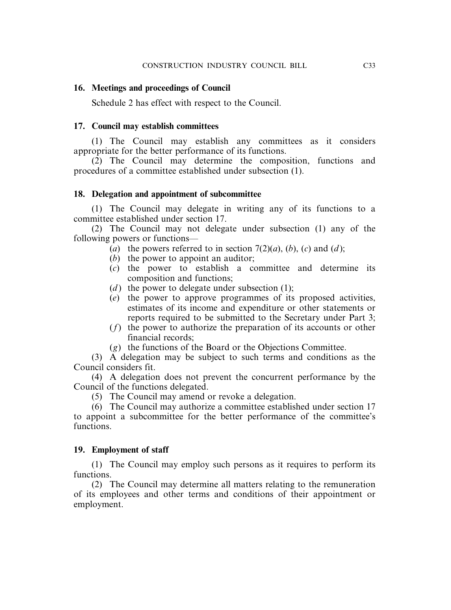### **16. Meetings and proceedings of Council**

Schedule 2 has effect with respect to the Council.

### **17. Council may establish committees**

(1) The Council may establish any committees as it considers appropriate for the better performance of its functions.

(2) The Council may determine the composition, functions and procedures of a committee established under subsection (1).

### **18. Delegation and appointment of subcommittee**

(1) The Council may delegate in writing any of its functions to a committee established under section 17.

(2) The Council may not delegate under subsection (1) any of the following powers or functions—

- (*a*) the powers referred to in section  $7(2)(a)$ , (*b*), (*c*) and (*d*);
- (*b*) the power to appoint an auditor;
- (*c*) the power to establish a committee and determine its composition and functions;
- (*d*) the power to delegate under subsection  $(1)$ ;
- (*e*) the power to approve programmes of its proposed activities, estimates of its income and expenditure or other statements or reports required to be submitted to the Secretary under Part 3;
- (*f*) the power to authorize the preparation of its accounts or other financial records;
- (*g*) the functions of the Board or the Objections Committee.

(3) A delegation may be subject to such terms and conditions as the Council considers fit.

(4) A delegation does not prevent the concurrent performance by the Council of the functions delegated.

(5) The Council may amend or revoke a delegation.

(6) The Council may authorize a committee established under section 17 to appoint a subcommittee for the better performance of the committee's functions.

### **19. Employment of staff**

(1) The Council may employ such persons as it requires to perform its functions.

(2) The Council may determine all matters relating to the remuneration of its employees and other terms and conditions of their appointment or employment.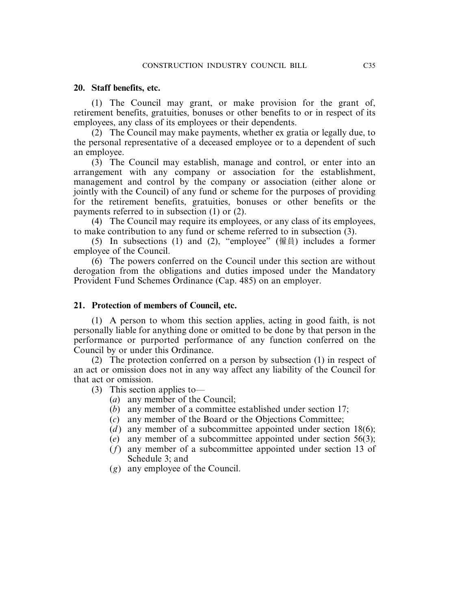### **20. Staff benefits, etc.**

(1) The Council may grant, or make provision for the grant of, retirement benefits, gratuities, bonuses or other benefits to or in respect of its employees, any class of its employees or their dependents.

(2) The Council may make payments, whether ex gratia or legally due, to the personal representative of a deceased employee or to a dependent of such an employee.

(3) The Council may establish, manage and control, or enter into an arrangement with any company or association for the establishment, management and control by the company or association (either alone or jointly with the Council) of any fund or scheme for the purposes of providing for the retirement benefits, gratuities, bonuses or other benefits or the payments referred to in subsection (1) or (2).

(4) The Council may require its employees, or any class of its employees, to make contribution to any fund or scheme referred to in subsection (3).

(5) In subsections (1) and (2), "employee" (僱員) includes a former employee of the Council.

(6) The powers conferred on the Council under this section are without derogation from the obligations and duties imposed under the Mandatory Provident Fund Schemes Ordinance (Cap. 485) on an employer.

### **21. Protection of members of Council, etc.**

(1) A person to whom this section applies, acting in good faith, is not personally liable for anything done or omitted to be done by that person in the performance or purported performance of any function conferred on the Council by or under this Ordinance.

(2) The protection conferred on a person by subsection (1) in respect of an act or omission does not in any way affect any liability of the Council for that act or omission.

(3) This section applies to—

- (*a*) any member of the Council;
- (*b*) any member of a committee established under section 17;
- (*c*) any member of the Board or the Objections Committee;
- (*d*) any member of a subcommittee appointed under section 18(6);
- (*e*) any member of a subcommittee appointed under section 56(3);
- (*f*) any member of a subcommittee appointed under section 13 of Schedule 3; and
- (*g*) any employee of the Council.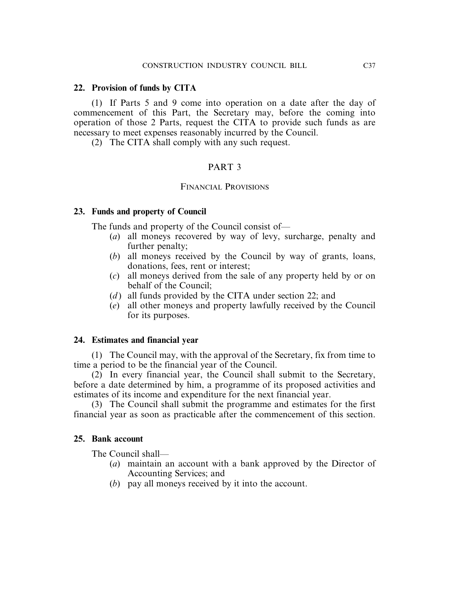### **22. Provision of funds by CITA**

(1) If Parts 5 and 9 come into operation on a date after the day of commencement of this Part, the Secretary may, before the coming into operation of those 2 Parts, request the CITA to provide such funds as are necessary to meet expenses reasonably incurred by the Council.

(2) The CITA shall comply with any such request.

### PART 3

### FINANCIAL PROVISIONS

### **23. Funds and property of Council**

The funds and property of the Council consist of—

- (*a*) all moneys recovered by way of levy, surcharge, penalty and further penalty;
- (*b*) all moneys received by the Council by way of grants, loans, donations, fees, rent or interest;
- (*c*) all moneys derived from the sale of any property held by or on behalf of the Council;
- (*d*) all funds provided by the CITA under section 22; and
- (*e*) all other moneys and property lawfully received by the Council for its purposes.

### **24. Estimates and financial year**

(1) The Council may, with the approval of the Secretary, fix from time to time a period to be the financial year of the Council.

(2) In every financial year, the Council shall submit to the Secretary, before a date determined by him, a programme of its proposed activities and estimates of its income and expenditure for the next financial year.

(3) The Council shall submit the programme and estimates for the first financial year as soon as practicable after the commencement of this section.

### **25. Bank account**

The Council shall—

- (*a*) maintain an account with a bank approved by the Director of Accounting Services; and
- (*b*) pay all moneys received by it into the account.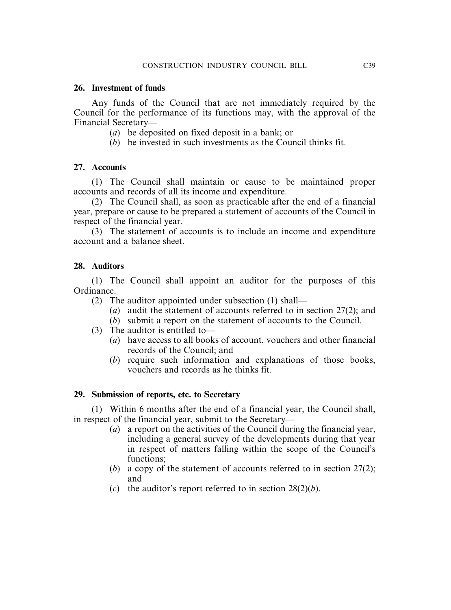### **26. Investment of funds**

Any funds of the Council that are not immediately required by the Council for the performance of its functions may, with the approval of the Financial Secretary—

- (*a*) be deposited on fixed deposit in a bank; or
- (*b*) be invested in such investments as the Council thinks fit.

### **27. Accounts**

(1) The Council shall maintain or cause to be maintained proper accounts and records of all its income and expenditure.

(2) The Council shall, as soon as practicable after the end of a financial year, prepare or cause to be prepared a statement of accounts of the Council in respect of the financial year.

(3) The statement of accounts is to include an income and expenditure account and a balance sheet.

### **28. Auditors**

(1) The Council shall appoint an auditor for the purposes of this Ordinance.

- (2) The auditor appointed under subsection (1) shall—
	- (*a*) audit the statement of accounts referred to in section 27(2); and
	- (*b*) submit a report on the statement of accounts to the Council.
- (3) The auditor is entitled to—
	- (*a*) have access to all books of account, vouchers and other financial records of the Council; and
	- (*b*) require such information and explanations of those books, vouchers and records as he thinks fit.

### **29. Submission of reports, etc. to Secretary**

(1) Within 6 months after the end of a financial year, the Council shall, in respect of the financial year, submit to the Secretary—

- (*a*) a report on the activities of the Council during the financial year, including a general survey of the developments during that year in respect of matters falling within the scope of the Council's functions;
- (*b*) a copy of the statement of accounts referred to in section 27(2); and
- (*c*) the auditor's report referred to in section  $28(2)(b)$ .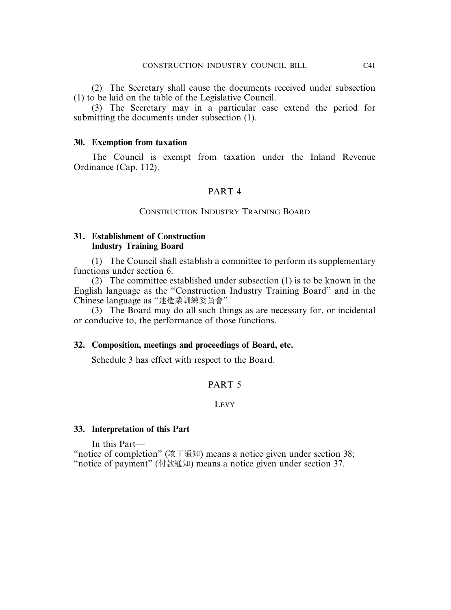(2) The Secretary shall cause the documents received under subsection (1) to be laid on the table of the Legislative Council.

(3) The Secretary may in a particular case extend the period for submitting the documents under subsection (1).

### **30. Exemption from taxation**

The Council is exempt from taxation under the Inland Revenue Ordinance (Cap. 112).

### PART 4

### CONSTRUCTION INDUSTRY TRAINING BOARD

### **31. Establishment of Construction Industry Training Board**

(1) The Council shall establish a committee to perform its supplementary functions under section 6.

(2) The committee established under subsection (1) is to be known in the English language as the "Construction Industry Training Board" and in the Chinese language as "建造業訓練委員會".

(3) The Board may do all such things as are necessary for, or incidental or conducive to, the performance of those functions.

### **32. Composition, meetings and proceedings of Board, etc.**

Schedule 3 has effect with respect to the Board.

### PART 5

### LEVY

### **33. Interpretation of this Part**

In this Part—

"notice of completion" (竣工通知) means a notice given under section 38; "notice of payment" (付款通知) means a notice given under section 37.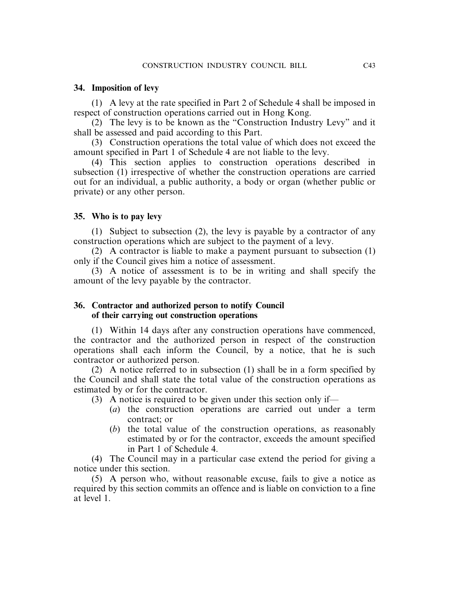### **34. Imposition of levy**

(1) A levy at the rate specified in Part 2 of Schedule 4 shall be imposed in respect of construction operations carried out in Hong Kong.

(2) The levy is to be known as the "Construction Industry Levy" and it shall be assessed and paid according to this Part.

(3) Construction operations the total value of which does not exceed the amount specified in Part 1 of Schedule 4 are not liable to the levy.

(4) This section applies to construction operations described in subsection (1) irrespective of whether the construction operations are carried out for an individual, a public authority, a body or organ (whether public or private) or any other person.

### **35. Who is to pay levy**

(1) Subject to subsection (2), the levy is payable by a contractor of any construction operations which are subject to the payment of a levy.

(2) A contractor is liable to make a payment pursuant to subsection (1) only if the Council gives him a notice of assessment.

(3) A notice of assessment is to be in writing and shall specify the amount of the levy payable by the contractor.

### **36. Contractor and authorized person to notify Council of their carrying out construction operations**

(1) Within 14 days after any construction operations have commenced, the contractor and the authorized person in respect of the construction operations shall each inform the Council, by a notice, that he is such contractor or authorized person.

(2) A notice referred to in subsection (1) shall be in a form specified by the Council and shall state the total value of the construction operations as estimated by or for the contractor.

(3) A notice is required to be given under this section only if—

- (*a*) the construction operations are carried out under a term contract; or
- (*b*) the total value of the construction operations, as reasonably estimated by or for the contractor, exceeds the amount specified in Part 1 of Schedule 4.

(4) The Council may in a particular case extend the period for giving a notice under this section.

(5) A person who, without reasonable excuse, fails to give a notice as required by this section commits an offence and is liable on conviction to a fine at level 1.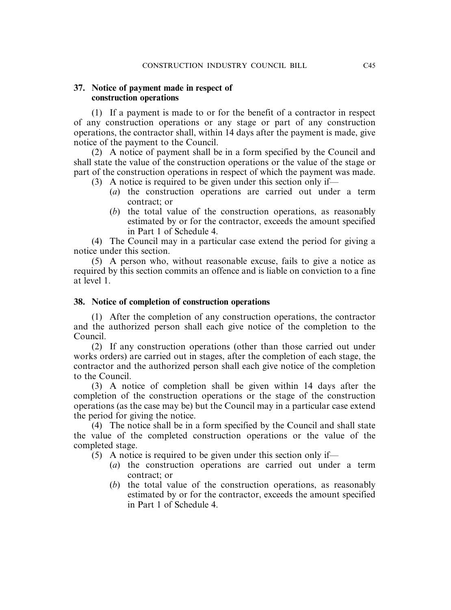### **37. Notice of payment made in respect of construction operations**

(1) If a payment is made to or for the benefit of a contractor in respect of any construction operations or any stage or part of any construction operations, the contractor shall, within 14 days after the payment is made, give notice of the payment to the Council.

(2) A notice of payment shall be in a form specified by the Council and shall state the value of the construction operations or the value of the stage or part of the construction operations in respect of which the payment was made.

- (3) A notice is required to be given under this section only if—
	- (*a*) the construction operations are carried out under a term contract; or
	- (*b*) the total value of the construction operations, as reasonably estimated by or for the contractor, exceeds the amount specified in Part 1 of Schedule 4.

(4) The Council may in a particular case extend the period for giving a notice under this section.

(5) A person who, without reasonable excuse, fails to give a notice as required by this section commits an offence and is liable on conviction to a fine at level 1.

### **38. Notice of completion of construction operations**

(1) After the completion of any construction operations, the contractor and the authorized person shall each give notice of the completion to the Council.

(2) If any construction operations (other than those carried out under works orders) are carried out in stages, after the completion of each stage, the contractor and the authorized person shall each give notice of the completion to the Council.

(3) A notice of completion shall be given within 14 days after the completion of the construction operations or the stage of the construction operations (as the case may be) but the Council may in a particular case extend the period for giving the notice.

(4) The notice shall be in a form specified by the Council and shall state the value of the completed construction operations or the value of the completed stage.

- (5) A notice is required to be given under this section only if—
	- (*a*) the construction operations are carried out under a term contract; or
	- (*b*) the total value of the construction operations, as reasonably estimated by or for the contractor, exceeds the amount specified in Part 1 of Schedule 4.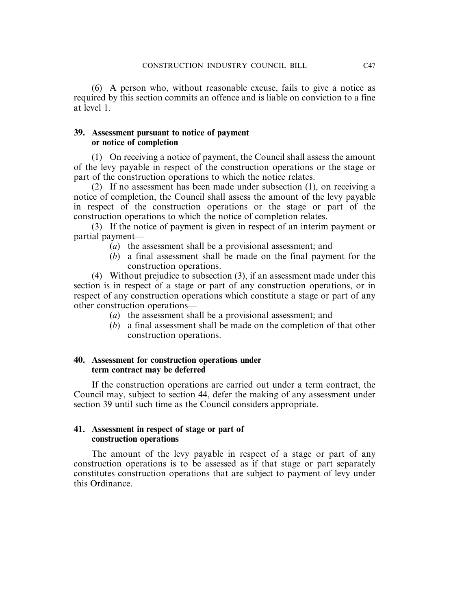(6) A person who, without reasonable excuse, fails to give a notice as required by this section commits an offence and is liable on conviction to a fine at level 1.

### **39. Assessment pursuant to notice of payment or notice of completion**

(1) On receiving a notice of payment, the Council shall assess the amount of the levy payable in respect of the construction operations or the stage or part of the construction operations to which the notice relates.

(2) If no assessment has been made under subsection (1), on receiving a notice of completion, the Council shall assess the amount of the levy payable in respect of the construction operations or the stage or part of the construction operations to which the notice of completion relates.

(3) If the notice of payment is given in respect of an interim payment or partial payment—

- (*a*) the assessment shall be a provisional assessment; and
- (*b*) a final assessment shall be made on the final payment for the construction operations.

(4) Without prejudice to subsection (3), if an assessment made under this section is in respect of a stage or part of any construction operations, or in respect of any construction operations which constitute a stage or part of any other construction operations—

- (*a*) the assessment shall be a provisional assessment; and
- (*b*) a final assessment shall be made on the completion of that other construction operations.

### **40. Assessment for construction operations under term contract may be deferred**

If the construction operations are carried out under a term contract, the Council may, subject to section 44, defer the making of any assessment under section 39 until such time as the Council considers appropriate.

### **41. Assessment in respect of stage or part of construction operations**

The amount of the levy payable in respect of a stage or part of any construction operations is to be assessed as if that stage or part separately constitutes construction operations that are subject to payment of levy under this Ordinance.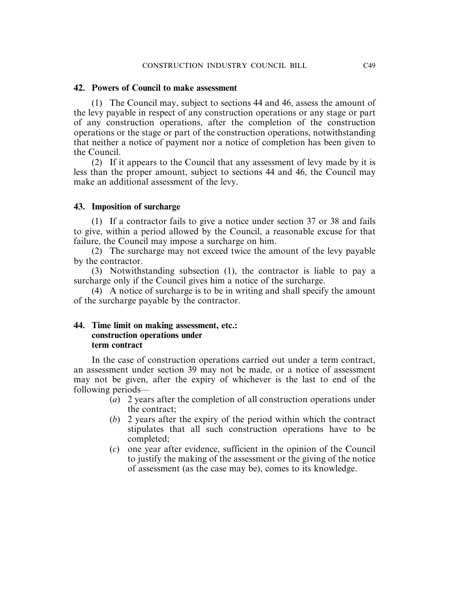### **42. Powers of Council to make assessment**

(1) The Council may, subject to sections 44 and 46, assess the amount of the levy payable in respect of any construction operations or any stage or part of any construction operations, after the completion of the construction operations or the stage or part of the construction operations, notwithstanding that neither a notice of payment nor a notice of completion has been given to the Council.

(2) If it appears to the Council that any assessment of levy made by it is less than the proper amount, subject to sections 44 and 46, the Council may make an additional assessment of the levy.

### **43. Imposition of surcharge**

(1) If a contractor fails to give a notice under section 37 or 38 and fails to give, within a period allowed by the Council, a reasonable excuse for that failure, the Council may impose a surcharge on him.

(2) The surcharge may not exceed twice the amount of the levy payable by the contractor.

(3) Notwithstanding subsection (1), the contractor is liable to pay a surcharge only if the Council gives him a notice of the surcharge.

(4) A notice of surcharge is to be in writing and shall specify the amount of the surcharge payable by the contractor.

### **44. Time limit on making assessment, etc.: construction operations under term contract**

In the case of construction operations carried out under a term contract, an assessment under section 39 may not be made, or a notice of assessment may not be given, after the expiry of whichever is the last to end of the following periods—

- (*a*) 2 years after the completion of all construction operations under the contract;
- (*b*) 2 years after the expiry of the period within which the contract stipulates that all such construction operations have to be completed;
- (*c*) one year after evidence, sufficient in the opinion of the Council to justify the making of the assessment or the giving of the notice of assessment (as the case may be), comes to its knowledge.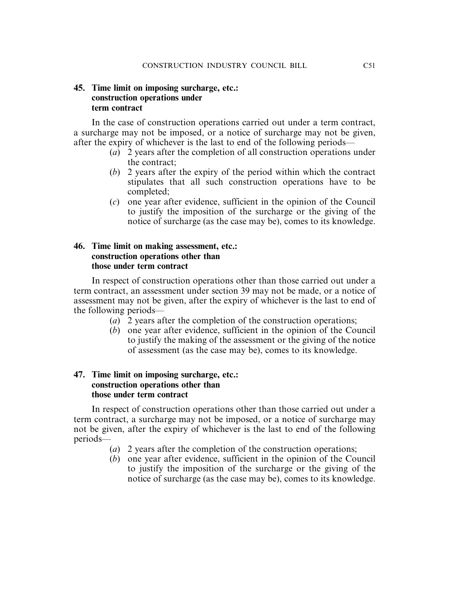### **45. Time limit on imposing surcharge, etc.: construction operations under term contract**

In the case of construction operations carried out under a term contract, a surcharge may not be imposed, or a notice of surcharge may not be given, after the expiry of whichever is the last to end of the following periods—

- (*a*) 2 years after the completion of all construction operations under the contract;
- (*b*) 2 years after the expiry of the period within which the contract stipulates that all such construction operations have to be completed;
- (*c*) one year after evidence, sufficient in the opinion of the Council to justify the imposition of the surcharge or the giving of the notice of surcharge (as the case may be), comes to its knowledge.

### **46. Time limit on making assessment, etc.: construction operations other than those under term contract**

In respect of construction operations other than those carried out under a term contract, an assessment under section 39 may not be made, or a notice of assessment may not be given, after the expiry of whichever is the last to end of the following periods—

- (*a*) 2 years after the completion of the construction operations;
- (*b*) one year after evidence, sufficient in the opinion of the Council to justify the making of the assessment or the giving of the notice of assessment (as the case may be), comes to its knowledge.

### **47. Time limit on imposing surcharge, etc.: construction operations other than those under term contract**

In respect of construction operations other than those carried out under a term contract, a surcharge may not be imposed, or a notice of surcharge may not be given, after the expiry of whichever is the last to end of the following periods—

- (*a*) 2 years after the completion of the construction operations;
- (*b*) one year after evidence, sufficient in the opinion of the Council to justify the imposition of the surcharge or the giving of the notice of surcharge (as the case may be), comes to its knowledge.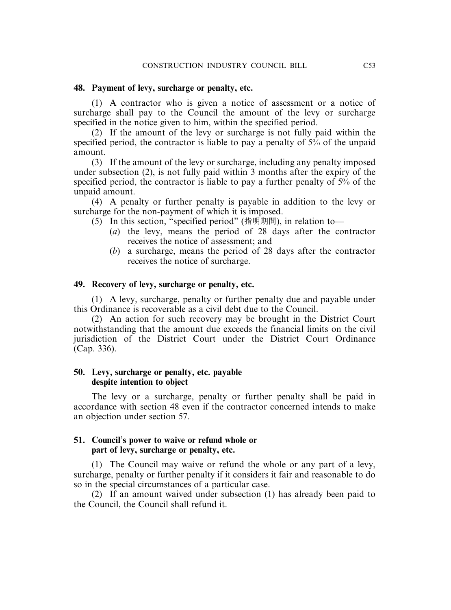### **48. Payment of levy, surcharge or penalty, etc.**

(1) A contractor who is given a notice of assessment or a notice of surcharge shall pay to the Council the amount of the levy or surcharge specified in the notice given to him, within the specified period.

(2) If the amount of the levy or surcharge is not fully paid within the specified period, the contractor is liable to pay a penalty of 5% of the unpaid amount.

(3) If the amount of the levy or surcharge, including any penalty imposed under subsection (2), is not fully paid within 3 months after the expiry of the specified period, the contractor is liable to pay a further penalty of 5% of the unpaid amount.

(4) A penalty or further penalty is payable in addition to the levy or surcharge for the non-payment of which it is imposed.

(5) In this section, "specified period" (指明期間), in relation to—

- (*a*) the levy, means the period of 28 days after the contractor receives the notice of assessment; and
- (*b*) a surcharge, means the period of 28 days after the contractor receives the notice of surcharge.

### **49. Recovery of levy, surcharge or penalty, etc.**

(1) A levy, surcharge, penalty or further penalty due and payable under this Ordinance is recoverable as a civil debt due to the Council.

(2) An action for such recovery may be brought in the District Court notwithstanding that the amount due exceeds the financial limits on the civil jurisdiction of the District Court under the District Court Ordinance (Cap. 336).

### **50. Levy, surcharge or penalty, etc. payable despite intention to object**

The levy or a surcharge, penalty or further penalty shall be paid in accordance with section 48 even if the contractor concerned intends to make an objection under section 57.

### **51. Council**'**s power to waive or refund whole or part of levy, surcharge or penalty, etc.**

(1) The Council may waive or refund the whole or any part of a levy, surcharge, penalty or further penalty if it considers it fair and reasonable to do so in the special circumstances of a particular case.

(2) If an amount waived under subsection (1) has already been paid to the Council, the Council shall refund it.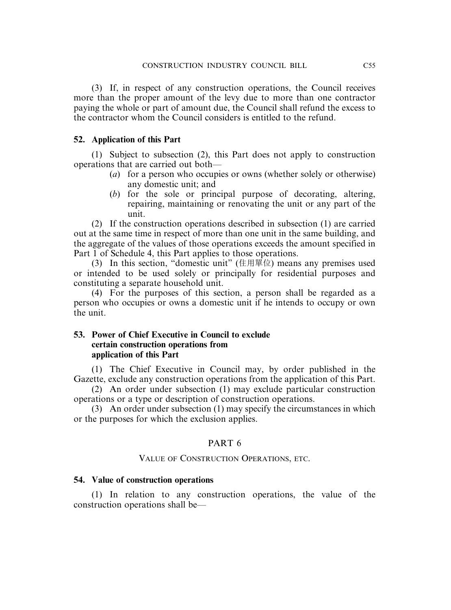(3) If, in respect of any construction operations, the Council receives more than the proper amount of the levy due to more than one contractor paying the whole or part of amount due, the Council shall refund the excess to the contractor whom the Council considers is entitled to the refund.

### **52. Application of this Part**

(1) Subject to subsection (2), this Part does not apply to construction operations that are carried out both—

- (*a*) for a person who occupies or owns (whether solely or otherwise) any domestic unit; and
- (*b*) for the sole or principal purpose of decorating, altering, repairing, maintaining or renovating the unit or any part of the unit.

(2) If the construction operations described in subsection (1) are carried out at the same time in respect of more than one unit in the same building, and the aggregate of the values of those operations exceeds the amount specified in Part 1 of Schedule 4, this Part applies to those operations.

(3) In this section, "domestic unit" (住用單位) means any premises used or intended to be used solely or principally for residential purposes and constituting a separate household unit.

(4) For the purposes of this section, a person shall be regarded as a person who occupies or owns a domestic unit if he intends to occupy or own the unit.

### **53. Power of Chief Executive in Council to exclude certain construction operations from application of this Part**

(1) The Chief Executive in Council may, by order published in the Gazette, exclude any construction operations from the application of this Part.

(2) An order under subsection (1) may exclude particular construction operations or a type or description of construction operations.

(3) An order under subsection (1) may specify the circumstances in which or the purposes for which the exclusion applies.

### PART 6

### VALUE OF CONSTRUCTION OPERATIONS, ETC.

### **54. Value of construction operations**

(1) In relation to any construction operations, the value of the construction operations shall be—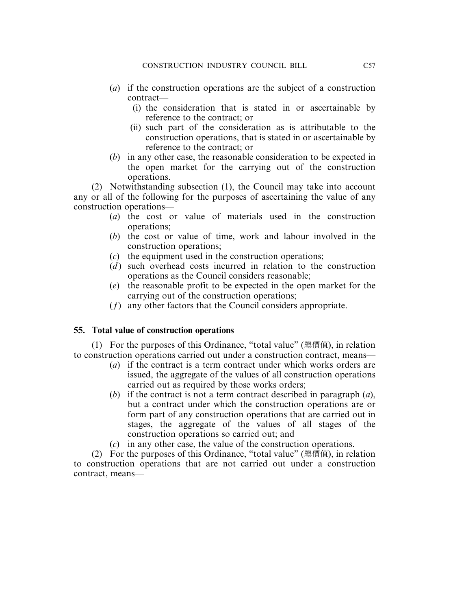- (*a*) if the construction operations are the subject of a construction contract—
	- (i) the consideration that is stated in or ascertainable by reference to the contract; or
	- (ii) such part of the consideration as is attributable to the construction operations, that is stated in or ascertainable by reference to the contract; or
- (*b*) in any other case, the reasonable consideration to be expected in the open market for the carrying out of the construction operations.

(2) Notwithstanding subsection (1), the Council may take into account any or all of the following for the purposes of ascertaining the value of any construction operations—

- (*a*) the cost or value of materials used in the construction operations;
- (*b*) the cost or value of time, work and labour involved in the construction operations;
- (*c*) the equipment used in the construction operations;
- (*d*) such overhead costs incurred in relation to the construction operations as the Council considers reasonable;
- (*e*) the reasonable profit to be expected in the open market for the carrying out of the construction operations;
- (*f*) any other factors that the Council considers appropriate.

### **55. Total value of construction operations**

(1) For the purposes of this Ordinance, "total value" (總價值), in relation to construction operations carried out under a construction contract, means—

- (*a*) if the contract is a term contract under which works orders are issued, the aggregate of the values of all construction operations carried out as required by those works orders;
- (*b*) if the contract is not a term contract described in paragraph (*a*), but a contract under which the construction operations are or form part of any construction operations that are carried out in stages, the aggregate of the values of all stages of the construction operations so carried out; and
- (*c*) in any other case, the value of the construction operations.

(2) For the purposes of this Ordinance, "total value" (總價值), in relation to construction operations that are not carried out under a construction contract, means—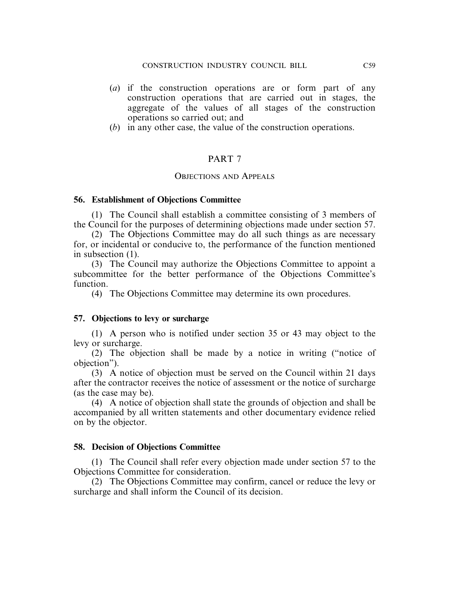- (*a*) if the construction operations are or form part of any construction operations that are carried out in stages, the aggregate of the values of all stages of the construction operations so carried out; and
- (*b*) in any other case, the value of the construction operations.

### PART 7

### OBJECTIONS AND APPEALS

### **56. Establishment of Objections Committee**

(1) The Council shall establish a committee consisting of 3 members of the Council for the purposes of determining objections made under section 57.

(2) The Objections Committee may do all such things as are necessary for, or incidental or conducive to, the performance of the function mentioned in subsection (1).

(3) The Council may authorize the Objections Committee to appoint a subcommittee for the better performance of the Objections Committee's function.

(4) The Objections Committee may determine its own procedures.

### **57. Objections to levy or surcharge**

(1) A person who is notified under section 35 or 43 may object to the levy or surcharge.

(2) The objection shall be made by a notice in writing ("notice of objection").

(3) A notice of objection must be served on the Council within 21 days after the contractor receives the notice of assessment or the notice of surcharge (as the case may be).

(4) A notice of objection shall state the grounds of objection and shall be accompanied by all written statements and other documentary evidence relied on by the objector.

### **58. Decision of Objections Committee**

(1) The Council shall refer every objection made under section 57 to the Objections Committee for consideration.

(2) The Objections Committee may confirm, cancel or reduce the levy or surcharge and shall inform the Council of its decision.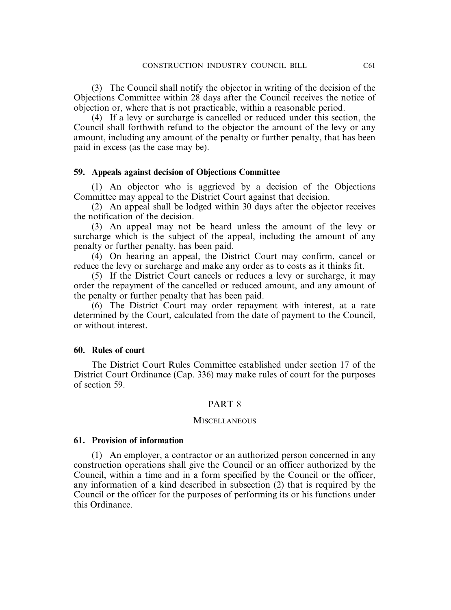(3) The Council shall notify the objector in writing of the decision of the Objections Committee within 28 days after the Council receives the notice of objection or, where that is not practicable, within a reasonable period.

(4) If a levy or surcharge is cancelled or reduced under this section, the Council shall forthwith refund to the objector the amount of the levy or any amount, including any amount of the penalty or further penalty, that has been paid in excess (as the case may be).

### **59. Appeals against decision of Objections Committee**

(1) An objector who is aggrieved by a decision of the Objections Committee may appeal to the District Court against that decision.

(2) An appeal shall be lodged within 30 days after the objector receives the notification of the decision.

(3) An appeal may not be heard unless the amount of the levy or surcharge which is the subject of the appeal, including the amount of any penalty or further penalty, has been paid.

(4) On hearing an appeal, the District Court may confirm, cancel or reduce the levy or surcharge and make any order as to costs as it thinks fit.

(5) If the District Court cancels or reduces a levy or surcharge, it may order the repayment of the cancelled or reduced amount, and any amount of the penalty or further penalty that has been paid.

(6) The District Court may order repayment with interest, at a rate determined by the Court, calculated from the date of payment to the Council, or without interest.

### **60. Rules of court**

The District Court Rules Committee established under section 17 of the District Court Ordinance (Cap. 336) may make rules of court for the purposes of section 59.

#### PART 8

### **MISCELLANEOUS**

#### **61. Provision of information**

(1) An employer, a contractor or an authorized person concerned in any construction operations shall give the Council or an officer authorized by the Council, within a time and in a form specified by the Council or the officer, any information of a kind described in subsection (2) that is required by the Council or the officer for the purposes of performing its or his functions under this Ordinance.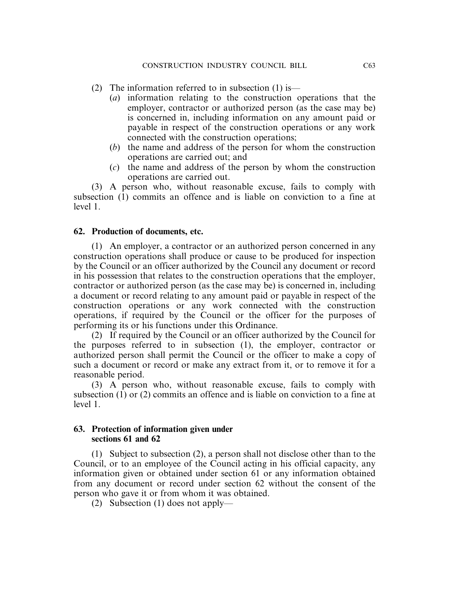- (2) The information referred to in subsection  $(1)$  is—
	- (*a*) information relating to the construction operations that the employer, contractor or authorized person (as the case may be) is concerned in, including information on any amount paid or payable in respect of the construction operations or any work connected with the construction operations;
	- (*b*) the name and address of the person for whom the construction operations are carried out; and
	- (*c*) the name and address of the person by whom the construction operations are carried out.

(3) A person who, without reasonable excuse, fails to comply with subsection (1) commits an offence and is liable on conviction to a fine at level 1.

### **62. Production of documents, etc.**

(1) An employer, a contractor or an authorized person concerned in any construction operations shall produce or cause to be produced for inspection by the Council or an officer authorized by the Council any document or record in his possession that relates to the construction operations that the employer, contractor or authorized person (as the case may be) is concerned in, including a document or record relating to any amount paid or payable in respect of the construction operations or any work connected with the construction operations, if required by the Council or the officer for the purposes of performing its or his functions under this Ordinance.

(2) If required by the Council or an officer authorized by the Council for the purposes referred to in subsection (1), the employer, contractor or authorized person shall permit the Council or the officer to make a copy of such a document or record or make any extract from it, or to remove it for a reasonable period.

(3) A person who, without reasonable excuse, fails to comply with subsection (1) or (2) commits an offence and is liable on conviction to a fine at level 1.

### **63. Protection of information given under sections 61 and 62**

(1) Subject to subsection (2), a person shall not disclose other than to the Council, or to an employee of the Council acting in his official capacity, any information given or obtained under section 61 or any information obtained from any document or record under section 62 without the consent of the person who gave it or from whom it was obtained.

(2) Subsection (1) does not apply—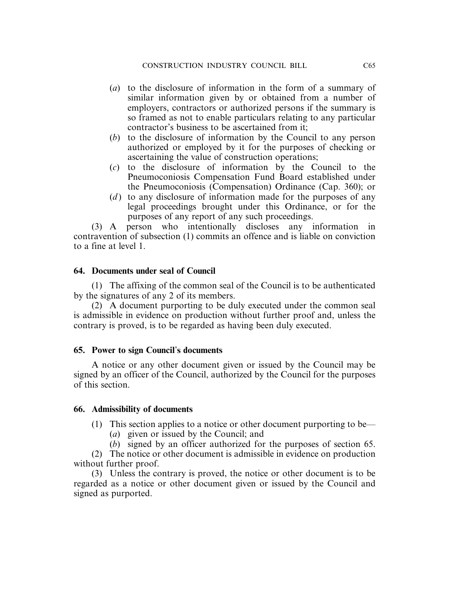- (*a*) to the disclosure of information in the form of a summary of similar information given by or obtained from a number of employers, contractors or authorized persons if the summary is so framed as not to enable particulars relating to any particular contractor's business to be ascertained from it;
- (*b*) to the disclosure of information by the Council to any person authorized or employed by it for the purposes of checking or ascertaining the value of construction operations;
- (*c*) to the disclosure of information by the Council to the Pneumoconiosis Compensation Fund Board established under the Pneumoconiosis (Compensation) Ordinance (Cap. 360); or
- (*d*) to any disclosure of information made for the purposes of any legal proceedings brought under this Ordinance, or for the purposes of any report of any such proceedings.

(3) A person who intentionally discloses any information in contravention of subsection (1) commits an offence and is liable on conviction to a fine at level 1.

### **64. Documents under seal of Council**

(1) The affixing of the common seal of the Council is to be authenticated by the signatures of any 2 of its members.

(2) A document purporting to be duly executed under the common seal is admissible in evidence on production without further proof and, unless the contrary is proved, is to be regarded as having been duly executed.

### **65. Power to sign Council**'**s documents**

A notice or any other document given or issued by the Council may be signed by an officer of the Council, authorized by the Council for the purposes of this section.

### **66. Admissibility of documents**

- (1) This section applies to a notice or other document purporting to be—
	- (*a*) given or issued by the Council; and
	- (*b*) signed by an officer authorized for the purposes of section 65.

(2) The notice or other document is admissible in evidence on production without further proof.

(3) Unless the contrary is proved, the notice or other document is to be regarded as a notice or other document given or issued by the Council and signed as purported.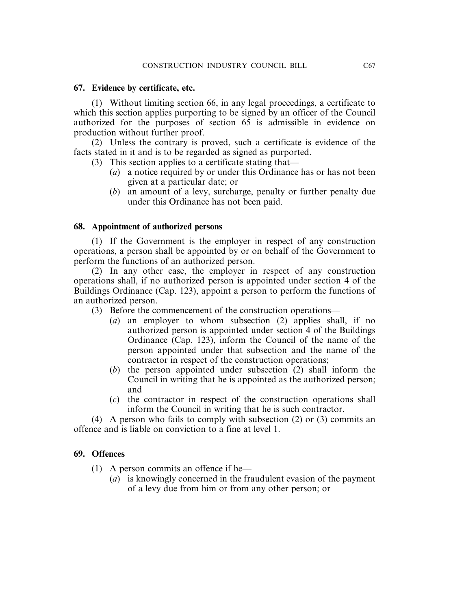### **67. Evidence by certificate, etc.**

(1) Without limiting section 66, in any legal proceedings, a certificate to which this section applies purporting to be signed by an officer of the Council authorized for the purposes of section 65 is admissible in evidence on production without further proof.

(2) Unless the contrary is proved, such a certificate is evidence of the facts stated in it and is to be regarded as signed as purported.

- (3) This section applies to a certificate stating that—
	- (*a*) a notice required by or under this Ordinance has or has not been given at a particular date; or
	- (*b*) an amount of a levy, surcharge, penalty or further penalty due under this Ordinance has not been paid.

### **68. Appointment of authorized persons**

(1) If the Government is the employer in respect of any construction operations, a person shall be appointed by or on behalf of the Government to perform the functions of an authorized person.

(2) In any other case, the employer in respect of any construction operations shall, if no authorized person is appointed under section 4 of the Buildings Ordinance (Cap. 123), appoint a person to perform the functions of an authorized person.

- (3) Before the commencement of the construction operations—
	- (*a*) an employer to whom subsection (2) applies shall, if no authorized person is appointed under section 4 of the Buildings Ordinance (Cap. 123), inform the Council of the name of the person appointed under that subsection and the name of the contractor in respect of the construction operations;
	- (*b*) the person appointed under subsection (2) shall inform the Council in writing that he is appointed as the authorized person; and
	- (*c*) the contractor in respect of the construction operations shall inform the Council in writing that he is such contractor.

(4) A person who fails to comply with subsection (2) or (3) commits an offence and is liable on conviction to a fine at level 1.

### **69. Offences**

- (1) A person commits an offence if he—
	- (*a*) is knowingly concerned in the fraudulent evasion of the payment of a levy due from him or from any other person; or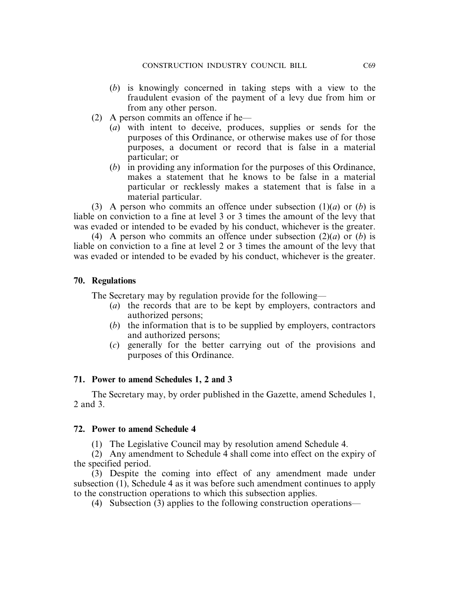- (*b*) is knowingly concerned in taking steps with a view to the fraudulent evasion of the payment of a levy due from him or from any other person.
- (2) A person commits an offence if he—
	- (*a*) with intent to deceive, produces, supplies or sends for the purposes of this Ordinance, or otherwise makes use of for those purposes, a document or record that is false in a material particular; or
	- (*b*) in providing any information for the purposes of this Ordinance, makes a statement that he knows to be false in a material particular or recklessly makes a statement that is false in a material particular.

(3) A person who commits an offence under subsection (1)(*a*) or (*b*) is liable on conviction to a fine at level 3 or 3 times the amount of the levy that was evaded or intended to be evaded by his conduct, whichever is the greater.

(4) A person who commits an offence under subsection (2)(*a*) or (*b*) is liable on conviction to a fine at level 2 or 3 times the amount of the levy that was evaded or intended to be evaded by his conduct, whichever is the greater.

### **70. Regulations**

The Secretary may by regulation provide for the following—

- (*a*) the records that are to be kept by employers, contractors and authorized persons;
- (*b*) the information that is to be supplied by employers, contractors and authorized persons;
- (*c*) generally for the better carrying out of the provisions and purposes of this Ordinance.

### **71. Power to amend Schedules 1, 2 and 3**

The Secretary may, by order published in the Gazette, amend Schedules 1, 2 and 3.

### **72. Power to amend Schedule 4**

(1) The Legislative Council may by resolution amend Schedule 4.

(2) Any amendment to Schedule 4 shall come into effect on the expiry of the specified period.

(3) Despite the coming into effect of any amendment made under subsection (1), Schedule 4 as it was before such amendment continues to apply to the construction operations to which this subsection applies.

(4) Subsection (3) applies to the following construction operations—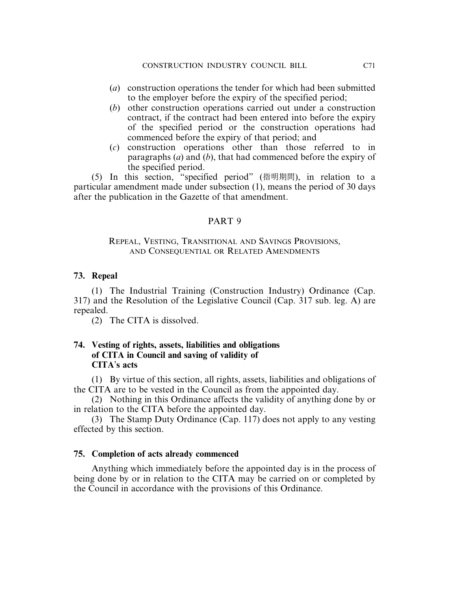- (*a*) construction operations the tender for which had been submitted to the employer before the expiry of the specified period;
- (*b*) other construction operations carried out under a construction contract, if the contract had been entered into before the expiry of the specified period or the construction operations had commenced before the expiry of that period; and
- (*c*) construction operations other than those referred to in paragraphs (*a*) and (*b*), that had commenced before the expiry of the specified period.

(5) In this section, "specified period" (指明期間), in relation to a particular amendment made under subsection (1), means the period of 30 days after the publication in the Gazette of that amendment.

### PART 9

### REPEAL, VESTING, TRANSITIONAL AND SAVINGS PROVISIONS, AND CONSEQUENTIAL OR RELATED AMENDMENTS

### **73. Repeal**

(1) The Industrial Training (Construction Industry) Ordinance (Cap. 317) and the Resolution of the Legislative Council (Cap. 317 sub. leg. A) are repealed.

(2) The CITA is dissolved.

### **74. Vesting of rights, assets, liabilities and obligations of CITA in Council and saving of validity of CITA**'**s acts**

(1) By virtue of this section, all rights, assets, liabilities and obligations of the CITA are to be vested in the Council as from the appointed day.

(2) Nothing in this Ordinance affects the validity of anything done by or in relation to the CITA before the appointed day.

(3) The Stamp Duty Ordinance (Cap. 117) does not apply to any vesting effected by this section.

### **75. Completion of acts already commenced**

Anything which immediately before the appointed day is in the process of being done by or in relation to the CITA may be carried on or completed by the Council in accordance with the provisions of this Ordinance.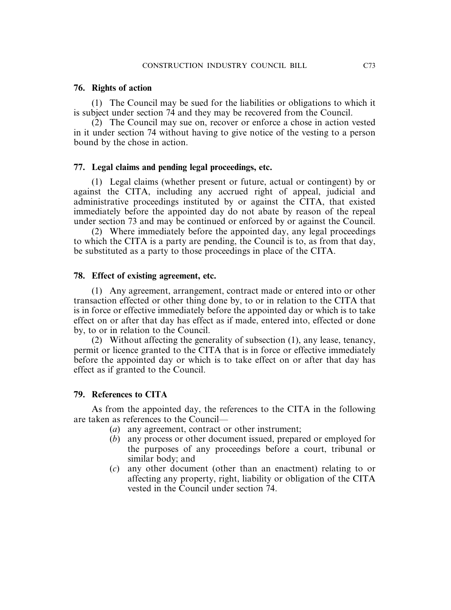#### **76. Rights of action**

(1) The Council may be sued for the liabilities or obligations to which it is subject under section 74 and they may be recovered from the Council.

(2) The Council may sue on, recover or enforce a chose in action vested in it under section 74 without having to give notice of the vesting to a person bound by the chose in action.

#### **77. Legal claims and pending legal proceedings, etc.**

(1) Legal claims (whether present or future, actual or contingent) by or against the CITA, including any accrued right of appeal, judicial and administrative proceedings instituted by or against the CITA, that existed immediately before the appointed day do not abate by reason of the repeal under section 73 and may be continued or enforced by or against the Council.

(2) Where immediately before the appointed day, any legal proceedings to which the CITA is a party are pending, the Council is to, as from that day, be substituted as a party to those proceedings in place of the CITA.

#### **78. Effect of existing agreement, etc.**

(1) Any agreement, arrangement, contract made or entered into or other transaction effected or other thing done by, to or in relation to the CITA that is in force or effective immediately before the appointed day or which is to take effect on or after that day has effect as if made, entered into, effected or done by, to or in relation to the Council.

(2) Without affecting the generality of subsection (1), any lease, tenancy, permit or licence granted to the CITA that is in force or effective immediately before the appointed day or which is to take effect on or after that day has effect as if granted to the Council.

#### **79. References to CITA**

As from the appointed day, the references to the CITA in the following are taken as references to the Council—

- (*a*) any agreement, contract or other instrument;
- (*b*) any process or other document issued, prepared or employed for the purposes of any proceedings before a court, tribunal or similar body; and
- (*c*) any other document (other than an enactment) relating to or affecting any property, right, liability or obligation of the CITA vested in the Council under section 74.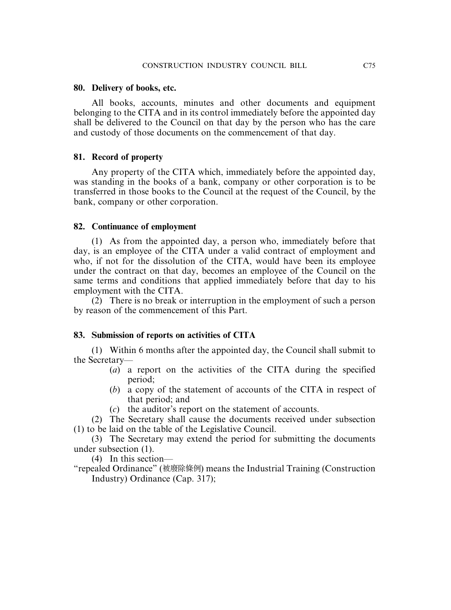### **80. Delivery of books, etc.**

All books, accounts, minutes and other documents and equipment belonging to the CITA and in its control immediately before the appointed day shall be delivered to the Council on that day by the person who has the care and custody of those documents on the commencement of that day.

### **81. Record of property**

Any property of the CITA which, immediately before the appointed day, was standing in the books of a bank, company or other corporation is to be transferred in those books to the Council at the request of the Council, by the bank, company or other corporation.

### **82. Continuance of employment**

(1) As from the appointed day, a person who, immediately before that day, is an employee of the CITA under a valid contract of employment and who, if not for the dissolution of the CITA, would have been its employee under the contract on that day, becomes an employee of the Council on the same terms and conditions that applied immediately before that day to his employment with the CITA.

(2) There is no break or interruption in the employment of such a person by reason of the commencement of this Part.

### **83. Submission of reports on activities of CITA**

(1) Within 6 months after the appointed day, the Council shall submit to the Secretary—

- (*a*) a report on the activities of the CITA during the specified period;
- (*b*) a copy of the statement of accounts of the CITA in respect of that period; and
- (*c*) the auditor's report on the statement of accounts.

(2) The Secretary shall cause the documents received under subsection (1) to be laid on the table of the Legislative Council.

(3) The Secretary may extend the period for submitting the documents under subsection (1).

(4) In this section—

"repealed Ordinance" (被廢除條例) means the Industrial Training (Construction Industry) Ordinance (Cap. 317);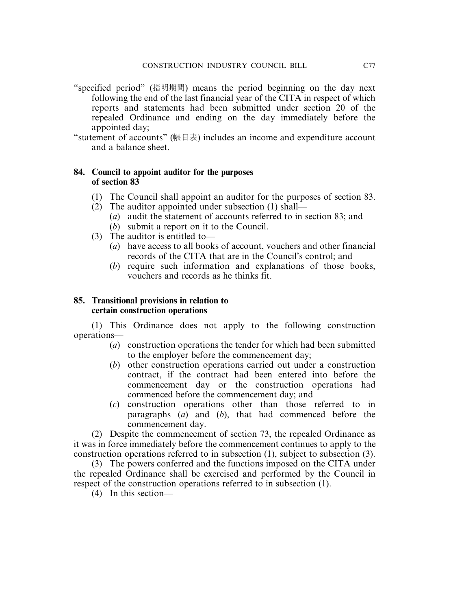- "specified period" (指明期間) means the period beginning on the day next following the end of the last financial year of the CITA in respect of which reports and statements had been submitted under section 20 of the repealed Ordinance and ending on the day immediately before the appointed day;
- "statement of accounts" (帳目表) includes an income and expenditure account and a balance sheet.

### **84. Council to appoint auditor for the purposes of section 83**

- (1) The Council shall appoint an auditor for the purposes of section 83.
- (2) The auditor appointed under subsection (1) shall—
	- (*a*) audit the statement of accounts referred to in section 83; and
	- (*b*) submit a report on it to the Council.
- (3) The auditor is entitled to—
	- (*a*) have access to all books of account, vouchers and other financial records of the CITA that are in the Council's control; and
	- (*b*) require such information and explanations of those books, vouchers and records as he thinks fit.

### **85. Transitional provisions in relation to certain construction operations**

(1) This Ordinance does not apply to the following construction operations—

- (*a*) construction operations the tender for which had been submitted to the employer before the commencement day;
- (*b*) other construction operations carried out under a construction contract, if the contract had been entered into before the commencement day or the construction operations had commenced before the commencement day; and
- (*c*) construction operations other than those referred to in paragraphs (*a*) and (*b*), that had commenced before the commencement day.

(2) Despite the commencement of section 73, the repealed Ordinance as it was in force immediately before the commencement continues to apply to the construction operations referred to in subsection (1), subject to subsection (3).

(3) The powers conferred and the functions imposed on the CITA under the repealed Ordinance shall be exercised and performed by the Council in respect of the construction operations referred to in subsection (1).

(4) In this section—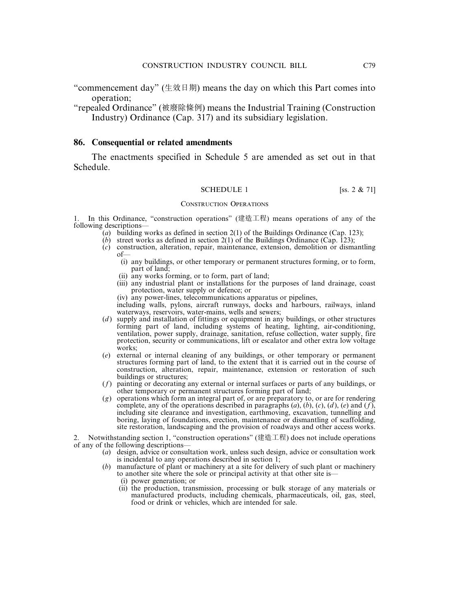"commencement day" (生效日期) means the day on which this Part comes into operation;

"repealed Ordinance" (被廢除條例) means the Industrial Training (Construction Industry) Ordinance (Cap. 317) and its subsidiary legislation.

#### **86. Consequential or related amendments**

The enactments specified in Schedule 5 are amended as set out in that Schedule.

#### SCHEDULE 1 [ss.  $2 \& 71$ ]

#### CONSTRUCTION OPERATIONS

1. In this Ordinance, "construction operations" (建造工程) means operations of any of the following descriptions—

- (*a*) building works as defined in section 2(1) of the Buildings Ordinance (Cap. 123);
- (*b*) street works as defined in section 2(1) of the Buildings Ordinance (Cap. 123);
- (*c*) construction, alteration, repair, maintenance, extension, demolition or dismantling of—
	- (i) any buildings, or other temporary or permanent structures forming, or to form, part of land;
	- (ii) any works forming, or to form, part of land;
	- (iii) any industrial plant or installations for the purposes of land drainage, coast protection, water supply or defence; or
	- (iv) any power-lines, telecommunications apparatus or pipelines,

including walls, pylons, aircraft runways, docks and harbours, railways, inland waterways, reservoirs, water-mains, wells and sewers;

- (*d*) supply and installation of fittings or equipment in any buildings, or other structures forming part of land, including systems of heating, lighting, air-conditioning, ventilation, power supply, drainage, sanitation, refuse collection, water supply, fire protection, security or communications, lift or escalator and other extra low voltage works;
- (*e*) external or internal cleaning of any buildings, or other temporary or permanent structures forming part of land, to the extent that it is carried out in the course of construction, alteration, repair, maintenance, extension or restoration of such buildings or structures;
- (*f*) painting or decorating any external or internal surfaces or parts of any buildings, or other temporary or permanent structures forming part of land;
- (*g*) operations which form an integral part of, or are preparatory to, or are for rendering complete, any of the operations described in paragraphs  $(a)$ ,  $(b)$ ,  $(c)$ ,  $(d)$ ,  $(e)$  and  $(f)$ , including site clearance and investigation, earthmoving, excavation, tunnelling and boring, laying of foundations, erection, maintenance or dismantling of scaffolding, site restoration, landscaping and the provision of roadways and other access works.

2. Notwithstanding section 1, "construction operations" (建造工程) does not include operations of any of the following descriptions—

- (*a*) design, advice or consultation work, unless such design, advice or consultation work is incidental to any operations described in section 1;
- (*b*) manufacture of plant or machinery at a site for delivery of such plant or machinery to another site where the sole or principal activity at that other site is—
	- (i) power generation; or
	- (ii) the production, transmission, processing or bulk storage of any materials or manufactured products, including chemicals, pharmaceuticals, oil, gas, steel, food or drink or vehicles, which are intended for sale.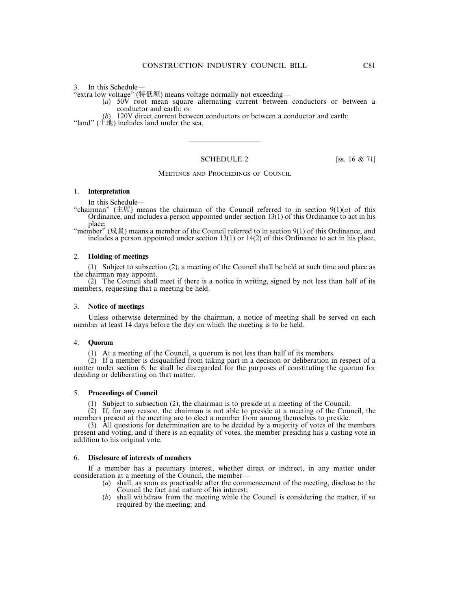#### 3. In this Schedule—

"extra low voltage" (特低壓) means voltage normally not exceeding—

- (*a*) 50V root mean square alternating current between conductors or between a conductor and earth; or
- (*b*) 120V direct current between conductors or between a conductor and earth;

"land"  $(\pm \text{1})$  includes land under the sea.

#### SCHEDULE 2 [ss. 16 & 71]

——————————

MEETINGS AND PROCEEDINGS OF COUNCIL

#### 1. **Interpretation**

In this Schedule—

"chairman" ( $\pm \pi$ ) means the chairman of the Council referred to in section  $9(1)(a)$  of this Ordinance, and includes a person appointed under section 13(1) of this Ordinance to act in his place;

"member" (成員) means a member of the Council referred to in section 9(1) of this Ordinance, and includes a person appointed under section 13(1) or 14(2) of this Ordinance to act in his place.

#### 2. **Holding of meetings**

(1) Subject to subsection (2), a meeting of the Council shall be held at such time and place as the chairman may appoint.

(2) The Council shall meet if there is a notice in writing, signed by not less than half of its members, requesting that a meeting be held.

#### 3. **Notice of meetings**

Unless otherwise determined by the chairman, a notice of meeting shall be served on each member at least 14 days before the day on which the meeting is to be held.

#### 4. **Quorum**

(1) At a meeting of the Council, a quorum is not less than half of its members.

 $(2)$  If a member is disqualified from taking part in a decision or deliberation in respect of a matter under section 6, he shall be disregarded for the purposes of constituting the quorum for deciding or deliberating on that matter.

#### 5. **Proceedings of Council**

(1) Subject to subsection (2), the chairman is to preside at a meeting of the Council.

(2) If, for any reason, the chairman is not able to preside at a meeting of the Council, the members present at the meeting are to elect a member from among themselves to preside.

(3) All questions for determination are to be decided by a majority of votes of the members present and voting, and if there is an equality of votes, the member presiding has a casting vote in addition to his original vote.

#### 6. **Disclosure of interests of members**

If a member has a pecuniary interest, whether direct or indirect, in any matter under consideration at a meeting of the Council, the member—

- (*a*) shall, as soon as practicable after the commencement of the meeting, disclose to the Council the fact and nature of his interest;
- (*b*) shall withdraw from the meeting while the Council is considering the matter, if so required by the meeting; and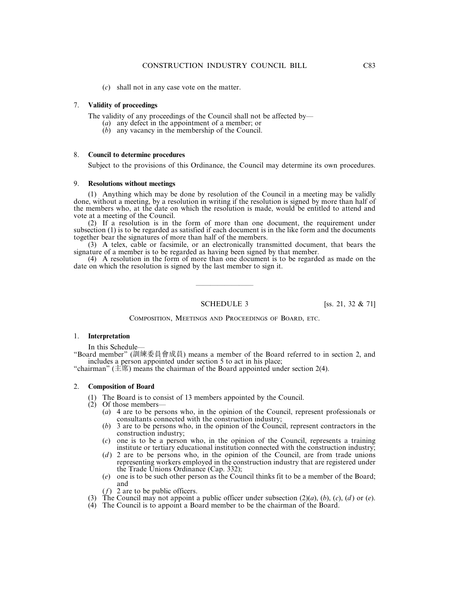(*c*) shall not in any case vote on the matter.

#### 7. **Validity of proceedings**

The validity of any proceedings of the Council shall not be affected by—

- (*a*) any defect in the appointment of a member; or
- (*b*) any vacancy in the membership of the Council.

#### 8. **Council to determine procedures**

Subject to the provisions of this Ordinance, the Council may determine its own procedures.

#### 9. **Resolutions without meetings**

(1) Anything which may be done by resolution of the Council in a meeting may be validly done, without a meeting, by a resolution in writing if the resolution is signed by more than half of the members who, at the date on which the resolution is made, would be entitled to attend and vote at a meeting of the Council.

(2) If a resolution is in the form of more than one document, the requirement under subsection (1) is to be regarded as satisfied if each document is in the like form and the documents together bear the signatures of more than half of the members.

(3) A telex, cable or facsimile, or an electronically transmitted document, that bears the signature of a member is to be regarded as having been signed by that member.

(4) A resolution in the form of more than one document is to be regarded as made on the date on which the resolution is signed by the last member to sign it.

————————

SCHEDULE 3 [ss. 21, 32 & 71]

COMPOSITION, MEETINGS AND PROCEEDINGS OF BOARD, ETC.

#### 1. **Interpretation**

In this Schedule—

"Board member" (訓練委員會成員) means a member of the Board referred to in section 2, and includes a person appointed under section 5 to act in his place;

"chairman"  $(\pm \mathbb{R})$  means the chairman of the Board appointed under section 2(4).

#### 2. **Composition of Board**

- (1) The Board is to consist of 13 members appointed by the Council.
- (2) Of those members—
	- (*a*) 4 are to be persons who, in the opinion of the Council, represent professionals or consultants connected with the construction industry;
	- (*b*) 3 are to be persons who, in the opinion of the Council, represent contractors in the construction industry;
	- (*c*) one is to be a person who, in the opinion of the Council, represents a training institute or tertiary educational institution connected with the construction industry;
	- (*d*) 2 are to be persons who, in the opinion of the Council, are from trade unions representing workers employed in the construction industry that are registered under the Trade Unions Ordinance (Cap. 332);
	- (*e*) one is to be such other person as the Council thinks fit to be a member of the Board; and
	- (*f*) 2 are to be public officers.
- (3) The Council may not appoint a public officer under subsection (2)(*a*), (*b*), (*c*), (*d* ) or (*e*).
- (4) The Council is to appoint a Board member to be the chairman of the Board.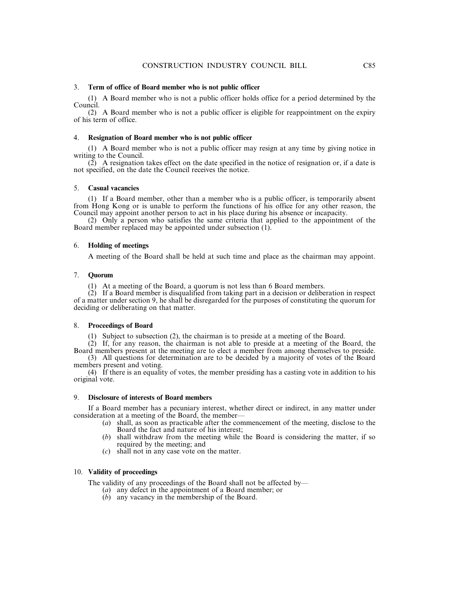#### 3. **Term of office of Board member who is not public officer**

(1) A Board member who is not a public officer holds office for a period determined by the Council.

(2) A Board member who is not a public officer is eligible for reappointment on the expiry of his term of office.

#### 4. **Resignation of Board member who is not public officer**

(1) A Board member who is not a public officer may resign at any time by giving notice in writing to the Council.

(2) A resignation takes effect on the date specified in the notice of resignation or, if a date is not specified, on the date the Council receives the notice.

#### 5. **Casual vacancies**

(1) If a Board member, other than a member who is a public officer, is temporarily absent from Hong Kong or is unable to perform the functions of his office for any other reason, the Council may appoint another person to act in his place during his absence or incapacity.

(2) Only a person who satisfies the same criteria that applied to the appointment of the Board member replaced may be appointed under subsection (1).

#### 6. **Holding of meetings**

A meeting of the Board shall be held at such time and place as the chairman may appoint.

#### 7. **Quorum**

(1) At a meeting of the Board, a quorum is not less than 6 Board members.

(2) If a Board member is disqualified from taking part in a decision or deliberation in respect of a matter under section 9, he shall be disregarded for the purposes of constituting the quorum for deciding or deliberating on that matter.

#### 8. **Proceedings of Board**

(1) Subject to subsection (2), the chairman is to preside at a meeting of the Board.

(2) If, for any reason, the chairman is not able to preside at a meeting of the Board, the Board members present at the meeting are to elect a member from among themselves to preside.

(3) All questions for determination are to be decided by a majority of votes of the Board members present and voting.

(4) If there is an equality of votes, the member presiding has a casting vote in addition to his original vote.

#### 9. **Disclosure of interests of Board members**

If a Board member has a pecuniary interest, whether direct or indirect, in any matter under consideration at a meeting of the Board, the member—

- (*a*) shall, as soon as practicable after the commencement of the meeting, disclose to the Board the fact and nature of his interest;
- (*b*) shall withdraw from the meeting while the Board is considering the matter, if so required by the meeting; and
- (*c*) shall not in any case vote on the matter.

#### 10. **Validity of proceedings**

The validity of any proceedings of the Board shall not be affected by—

- (*a*) any defect in the appointment of a Board member; or
- (*b*) any vacancy in the membership of the Board.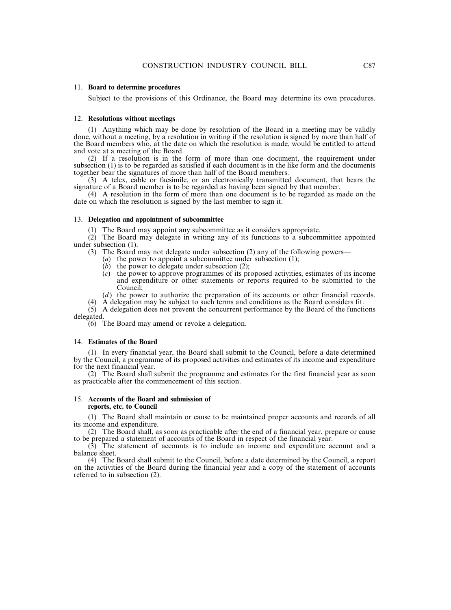#### 11. **Board to determine procedures**

Subject to the provisions of this Ordinance, the Board may determine its own procedures.

#### 12. **Resolutions without meetings**

(1) Anything which may be done by resolution of the Board in a meeting may be validly done, without a meeting, by a resolution in writing if the resolution is signed by more than half of the Board members who, at the date on which the resolution is made, would be entitled to attend and vote at a meeting of the Board.

(2) If a resolution is in the form of more than one document, the requirement under subsection (1) is to be regarded as satisfied if each document is in the like form and the documents together bear the signatures of more than half of the Board members.

(3) A telex, cable or facsimile, or an electronically transmitted document, that bears the signature of a Board member is to be regarded as having been signed by that member.

(4) A resolution in the form of more than one document is to be regarded as made on the date on which the resolution is signed by the last member to sign it.

#### 13. **Delegation and appointment of subcommittee**

(1) The Board may appoint any subcommittee as it considers appropriate.

(2) The Board may delegate in writing any of its functions to a subcommittee appointed under subsection (1).

(3) The Board may not delegate under subsection (2) any of the following powers—

- (*a*) the power to appoint a subcommittee under subsection (1);
- (*b*) the power to delegate under subsection (2);
- (*c*) the power to approve programmes of its proposed activities, estimates of its income and expenditure or other statements or reports required to be submitted to the Council;

(*d*) the power to authorize the preparation of its accounts or other financial records.

(4) A delegation may be subject to such terms and conditions as the Board considers fit.

 $(5)$  A delegation does not prevent the concurrent performance by the Board of the functions delegated.

(6) The Board may amend or revoke a delegation.

#### 14. **Estimates of the Board**

(1) In every financial year, the Board shall submit to the Council, before a date determined by the Council, a programme of its proposed activities and estimates of its income and expenditure for the next financial year.

(2) The Board shall submit the programme and estimates for the first financial year as soon as practicable after the commencement of this section.

#### 15. **Accounts of the Board and submission of reports, etc. to Council**

(1) The Board shall maintain or cause to be maintained proper accounts and records of all its income and expenditure.

(2) The Board shall, as soon as practicable after the end of a financial year, prepare or cause to be prepared a statement of accounts of the Board in respect of the financial year.

(3) The statement of accounts is to include an income and expenditure account and a balance sheet.

(4) The Board shall submit to the Council, before a date determined by the Council, a report on the activities of the Board during the financial year and a copy of the statement of accounts referred to in subsection (2).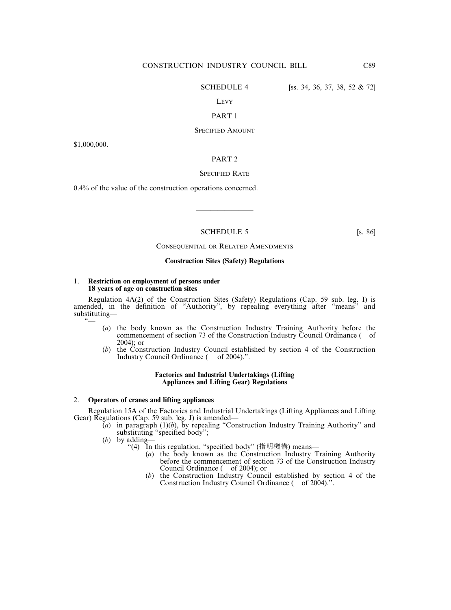SCHEDULE 4 [ss. 34, 36, 37, 38, 52 & 72]

#### LEVY

#### PART 1

#### SPECIFIED AMOUNT

\$1,000,000.

#### PART 2

#### SPECIFIED RATE

0.4% of the value of the construction operations concerned.

#### SCHEDULE 5 [s. 86]

————————

#### CONSEQUENTIAL OR RELATED AMENDMENTS

#### **Construction Sites (Safety) Regulations**

#### 1. **Restriction on employment of persons under 18 years of age on construction sites**

Regulation  $4A(2)$  of the Construction Sites (Safety) Regulations (Cap. 59 sub. leg. I) is amended, in the definition of "Authority", by repealing everything after "means" and substituting—  $\tilde{\ }$ 

- (*a*) the body known as the Construction Industry Training Authority before the commencement of section 73 of the Construction Industry Council Ordinance ( of 2004); or
- (*b*) the Construction Industry Council established by section 4 of the Construction Industry Council Ordinance ( of 2004).".

#### **Factories and Industrial Undertakings (Lifting Appliances and Lifting Gear) Regulations**

#### 2. **Operators of cranes and lifting appliances**

Regulation 15A of the Factories and Industrial Undertakings (Lifting Appliances and Lifting Gear) Regulations (Cap. 59 sub. leg. J) is amended—

- $\overline{(a)}$  in paragraph (1)(*b*), by repealing "Construction Industry Training Authority" and substituting "specified body";
- (*b*) by adding—
	- "(4) In this regulation, "specified body" (指明機構) means—
		- (*a*) the body known as the Construction Industry Training Authority before the commencement of section 73 of the Construction Industry Council Ordinance ( of 2004); or
		- (*b*) the Construction Industry Council established by section 4 of the Construction Industry Council Ordinance ( of 2004).".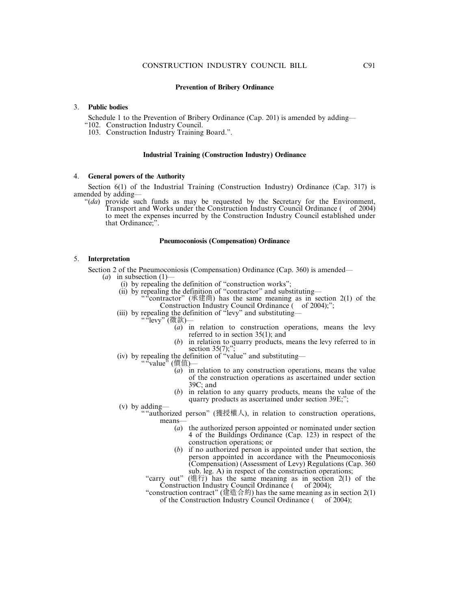#### 3. **Public bodies**

Schedule 1 to the Prevention of Bribery Ordinance (Cap. 201) is amended by adding—

"102. Construction Industry Council.

103. Construction Industry Training Board.".

#### **Industrial Training (Construction Industry) Ordinance**

#### 4. **General powers of the Authority**

Section 6(1) of the Industrial Training (Construction Industry) Ordinance (Cap. 317) is amended by adding—

"(*da*) provide such funds as may be requested by the Secretary for the Environment, Transport and Works under the Construction Industry Council Ordinance ( of 2004) to meet the expenses incurred by the Construction Industry Council established under that Ordinance;".

#### **Pneumoconiosis (Compensation) Ordinance**

#### 5. **Interpretation**

Section 2 of the Pneumoconiosis (Compensation) Ordinance (Cap. 360) is amended—

- (*a*) in subsection  $(1)$ 
	- (i) by repealing the definition of "construction works";
	- (ii) by repealing the definition of "contractor" and substituting—
		- "contractor" (承建商) has the same meaning as in section 2(1) of the Construction Industry Council Ordinance ( of 2004);";
	- (iii) by repealing the definition of "levy" and substituting—
		- ""levy" (徵款)—
			- (*a*) in relation to construction operations, means the levy referred to in section 35(1); and
			- (*b*) in relation to quarry products, means the levy referred to in section  $35(7)$ ;"
	- (iv) by repealing the definition of "value" and substituting—

<sup>:</sup>value<sup>,</sup>(價值)—

- (*a*) in relation to any construction operations, means the value of the construction operations as ascertained under section 39C; and
- (*b*) in relation to any quarry products, means the value of the quarry products as ascertained under section 39E;";
- (v) by adding—
	- ""authorized person" (獲授權人), in relation to construction operations, means—
		- (*a*) the authorized person appointed or nominated under section 4 of the Buildings Ordinance (Cap. 123) in respect of the construction operations; or
		- (*b*) if no authorized person is appointed under that section, the person appointed in accordance with the Pneumoconiosis (Compensation) (Assessment of Levy) Regulations (Cap. 360 sub. leg. A) in respect of the construction operations;

"carry out" (進行) has the same meaning as in section 2(1) of the Construction Industry Council Ordinance ( of 2004);

"construction contract" (建造合約) has the same meaning as in section 2(1) of the Construction Industry Council Ordinance ( $\overline{\phantom{a}}$  of 2004);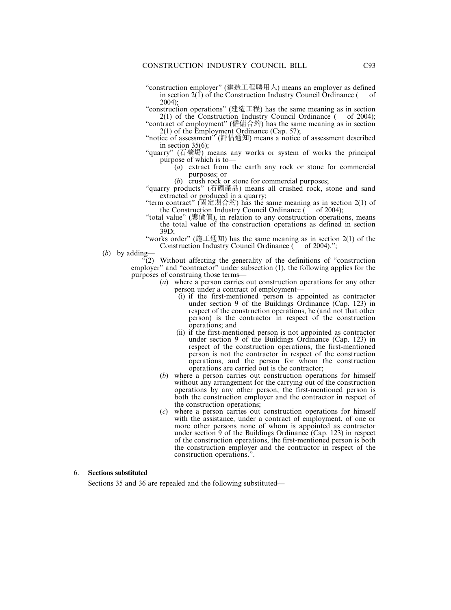"construction employer" (建造工程聘用人) means an employer as defined in section  $2(1)$  of the Construction Industry Council Ordinance ( of 2004);

"construction operations" (建造工程) has the same meaning as in section  $2(1)$  of the Construction Industry Council Ordinance ( of 2004);

"contract of employment" (僱傭合約) has the same meaning as in section 2(1) of the Employment Ordinance (Cap. 57);

"notice of assessment" (評估通知) means a notice of assessment described in section 35(6);

"quarry" (石礦場) means any works or system of works the principal purpose of which is to—

> (*a*) extract from the earth any rock or stone for commercial purposes; or

(*b*) crush rock or stone for commercial purposes;

"quarry products" (石礦產品) means all crushed rock, stone and sand extracted or produced in a quarry;

"term contract" (固定期合約) has the same meaning as in section 2(1) of the Construction Industry Council Ordinance  $($  of 2004);

- "total value" (總價值), in relation to any construction operations, means the total value of the construction operations as defined in section 39D;
- "works order" (施工通知) has the same meaning as in section  $2(1)$  of the Construction Industry Council Ordinance ( of 2004).";
- (*b*) by adding—

 $\sqrt{2}$ . Without affecting the generality of the definitions of "construction" employer" and "contractor" under subsection (1), the following applies for the purposes of construing those terms—

- (*a*) where a person carries out construction operations for any other person under a contract of employment—
	- (i) if the first-mentioned person is appointed as contractor under section 9 of the Buildings Ordinance (Cap. 123) in respect of the construction operations, he (and not that other person) is the contractor in respect of the construction operations; and
	- (ii) if the first-mentioned person is not appointed as contractor under section 9 of the Buildings Ordinance (Cap. 123) in respect of the construction operations, the first-mentioned person is not the contractor in respect of the construction operations, and the person for whom the construction operations are carried out is the contractor;
- (*b*) where a person carries out construction operations for himself without any arrangement for the carrying out of the construction operations by any other person, the first-mentioned person is both the construction employer and the contractor in respect of the construction operations;
- (*c*) where a person carries out construction operations for himself with the assistance, under a contract of employment, of one or more other persons none of whom is appointed as contractor under section 9 of the Buildings Ordinance (Cap. 123) in respect of the construction operations, the first-mentioned person is both the construction employer and the contractor in respect of the construction operations.".

#### 6. **Sections substituted**

Sections 35 and 36 are repealed and the following substituted—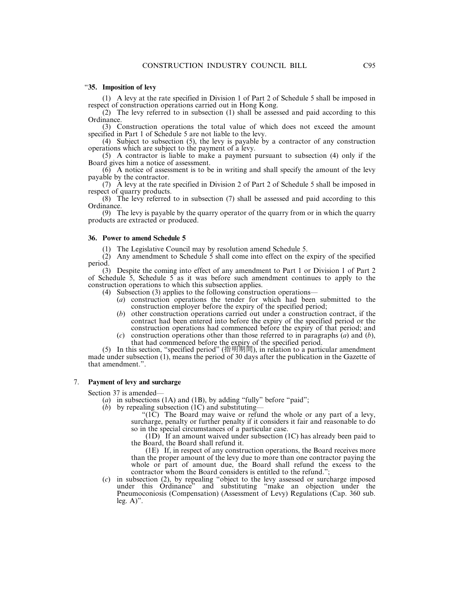#### "**35. Imposition of levy**

(1) A levy at the rate specified in Division 1 of Part 2 of Schedule 5 shall be imposed in respect of construction operations carried out in Hong Kong.

(2) The levy referred to in subsection (1) shall be assessed and paid according to this Ordinance.

(3) Construction operations the total value of which does not exceed the amount specified in Part 1 of Schedule 5 are not liable to the levy.

(4) Subject to subsection (5), the levy is payable by a contractor of any construction operations which are subject to the payment of a levy.

(5) A contractor is liable to make a payment pursuant to subsection (4) only if the Board gives him a notice of assessment.

(6) A notice of assessment is to be in writing and shall specify the amount of the levy payable by the contractor.

(7) A levy at the rate specified in Division 2 of Part 2 of Schedule 5 shall be imposed in respect of quarry products.

(8) The levy referred to in subsection (7) shall be assessed and paid according to this Ordinance.

(9) The levy is payable by the quarry operator of the quarry from or in which the quarry products are extracted or produced.

#### **36. Power to amend Schedule 5**

(1) The Legislative Council may by resolution amend Schedule 5.

 $(2)$  Any amendment to Schedule 5 shall come into effect on the expiry of the specified period.

(3) Despite the coming into effect of any amendment to Part 1 or Division 1 of Part 2 of Schedule 5, Schedule 5 as it was before such amendment continues to apply to the construction operations to which this subsection applies.

- (4) Subsection (3) applies to the following construction operations—
	- (*a*) construction operations the tender for which had been submitted to the construction employer before the expiry of the specified period;
	- (*b*) other construction operations carried out under a construction contract, if the contract had been entered into before the expiry of the specified period or the construction operations had commenced before the expiry of that period; and
	- (*c*) construction operations other than those referred to in paragraphs (*a*) and (*b*), that had commenced before the expiry of the specified period.

(5) In this section, "specified period" (指明期間), in relation to a particular amendment made under subsection (1), means the period of 30 days after the publication in the Gazette of that amendment.".

#### 7. **Payment of levy and surcharge**

Section 37 is amended—

- (*a*) in subsections (1A) and (1B), by adding "fully" before "paid";
- (*b*) by repealing subsection (1C) and substituting—

"(1C) The Board may waive or refund the whole or any part of a levy, surcharge, penalty or further penalty if it considers it fair and reasonable to do so in the special circumstances of a particular case.

 $(1D)$  If an amount waived under subsection  $(1C)$  has already been paid to the Board, the Board shall refund it.

(1E) If, in respect of any construction operations, the Board receives more than the proper amount of the levy due to more than one contractor paying the whole or part of amount due, the Board shall refund the excess to the contractor whom the Board considers is entitled to the refund.";

(*c*) in subsection (2), by repealing "object to the levy assessed or surcharge imposed under this Ordinance" and substituting "make an objection under the Pneumoconiosis (Compensation) (Assessment of Levy) Regulations (Cap. 360 sub. leg.  $A$ )".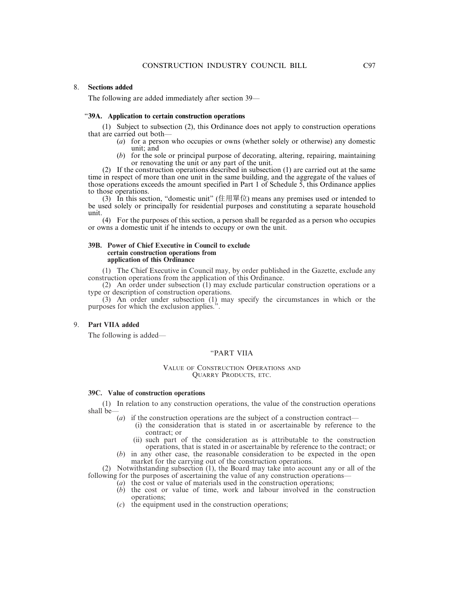#### 8. **Sections added**

The following are added immediately after section 39—

#### "**39A. Application to certain construction operations**

(1) Subject to subsection (2), this Ordinance does not apply to construction operations that are carried out both—

- (*a*) for a person who occupies or owns (whether solely or otherwise) any domestic unit; and
- (*b*) for the sole or principal purpose of decorating, altering, repairing, maintaining or renovating the unit or any part of the unit.

(2) If the construction operations described in subsection (1) are carried out at the same time in respect of more than one unit in the same building, and the aggregate of the values of those operations exceeds the amount specified in Part 1 of Schedule 5, this Ordinance applies to those operations.

(3) In this section, "domestic unit" (住用單位) means any premises used or intended to be used solely or principally for residential purposes and constituting a separate household unit.

(4) For the purposes of this section, a person shall be regarded as a person who occupies or owns a domestic unit if he intends to occupy or own the unit.

#### **39B. Power of Chief Executive in Council to exclude certain construction operations from application of this Ordinance**

(1) The Chief Executive in Council may, by order published in the Gazette, exclude any construction operations from the application of this Ordinance.

(2) An order under subsection (1) may exclude particular construction operations or a type or description of construction operations.

(3) An order under subsection (1) may specify the circumstances in which or the purposes for which the exclusion applies.".

#### 9. **Part VIIA added**

The following is added—

#### "PART VIIA

#### VALUE OF CONSTRUCTION OPERATIONS AND QUARRY PRODUCTS, ETC.

#### **39C. Value of construction operations**

(1) In relation to any construction operations, the value of the construction operations shall be—

- (*a*) if the construction operations are the subject of a construction contract—
	- (i) the consideration that is stated in or ascertainable by reference to the contract; or
	- (ii) such part of the consideration as is attributable to the construction operations, that is stated in or ascertainable by reference to the contract; or
- (*b*) in any other case, the reasonable consideration to be expected in the open market for the carrying out of the construction operations.

(2) Notwithstanding subsection (1), the Board may take into account any or all of the following for the purposes of ascertaining the value of any construction operations—

- (*a*) the cost or value of materials used in the construction operations;
- (*b*) the cost or value of time, work and labour involved in the construction operations;
- (*c*) the equipment used in the construction operations;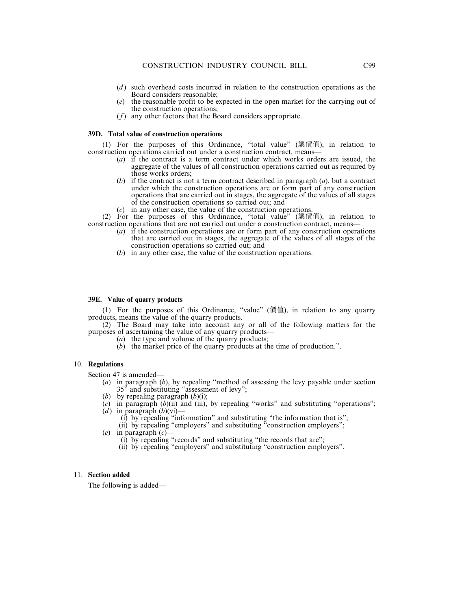- (*d*) such overhead costs incurred in relation to the construction operations as the Board considers reasonable;
- (*e*) the reasonable profit to be expected in the open market for the carrying out of the construction operations;
- (*f*) any other factors that the Board considers appropriate.

#### **39D. Total value of construction operations**

(1) For the purposes of this Ordinance, "total value" (總價值), in relation to construction operations carried out under a construction contract, means—

- (*a*) if the contract is a term contract under which works orders are issued, the aggregate of the values of all construction operations carried out as required by those works orders;
- (*b*) if the contract is not a term contract described in paragraph (*a*), but a contract under which the construction operations are or form part of any construction operations that are carried out in stages, the aggregate of the values of all stages of the construction operations so carried out; and
- (*c*) in any other case, the value of the construction operations.

(2) For the purposes of this Ordinance, "total value" (總價值), in relation to construction operations that are not carried out under a construction contract, means—

- (*a*) if the construction operations are or form part of any construction operations that are carried out in stages, the aggregate of the values of all stages of the construction operations so carried out; and
- (*b*) in any other case, the value of the construction operations.

#### **39E. Value of quarry products**

(1) For the purposes of this Ordinance, "value" (價值), in relation to any quarry products, means the value of the quarry products.

(2) The Board may take into account any or all of the following matters for the purposes of ascertaining the value of any quarry products—

- (*a*) the type and volume of the quarry products;
- (*b*) the market price of the quarry products at the time of production.".

#### 10. **Regulations**

Section 47 is amended—

- (*a*) in paragraph (*b*), by repealing "method of assessing the levy payable under section 35" and substituting "assessment of levy";
- (*b*) by repealing paragraph (*b*)(i);
- $(c)$  in paragraph  $(b)$ (ii) and (iii), by repealing "works" and substituting "operations";
- $\hat{d}$ ) in paragraph  $\hat{b}$  $\hat{b}$  $\hat{v}$  $\hat{i}$  $\hat{j}$ 
	- (i) by repealing "information" and substituting "the information that is";
	- (ii) by repealing "employers" and substituting "construction employers":
- (*e*) in paragraph (*c*)—
	- (i) by repealing "records" and substituting "the records that are";
	- (ii) by repealing "employers" and substituting "construction employers".

#### 11. **Section added**

The following is added—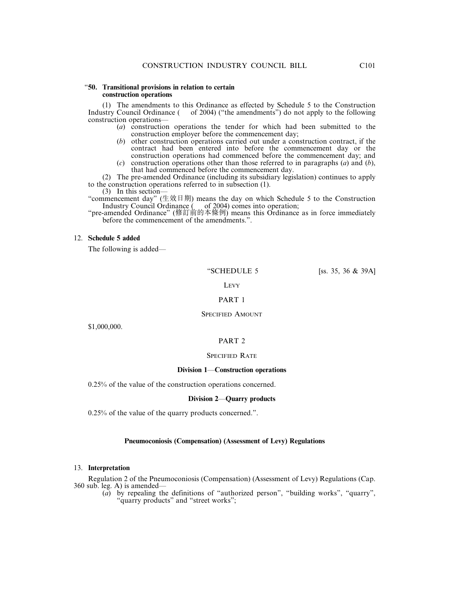#### "**50. Transitional provisions in relation to certain construction operations**

(1) The amendments to this Ordinance as effected by Schedule 5 to the Construction Industry Council Ordinance ( of 2004) ("the amendments") do not apply to the following construction operations—

- (*a*) construction operations the tender for which had been submitted to the construction employer before the commencement day;
- (*b*) other construction operations carried out under a construction contract, if the contract had been entered into before the commencement day or the construction operations had commenced before the commencement day; and
- (*c*) construction operations other than those referred to in paragraphs (*a*) and (*b*), that had commenced before the commencement day.

(2) The pre-amended Ordinance (including its subsidiary legislation) continues to apply to the construction operations referred to in subsection (1).

(3) In this section—

"commencement day" (生效日期) means the day on which Schedule 5 to the Construction Industry Council Ordinance ( of 2004) comes into operation;

"pre-amended Ordinance" (修訂前的本條例) means this Ordinance as in force immediately before the commencement of the amendments.".

#### 12. **Schedule 5 added**

The following is added—

"SCHEDULE 5 [ss. 35, 36 & 39A]

**LEVY** 

#### PART 1

#### SPECIFIED AMOUNT

\$1,000,000.

#### PART 2

#### SPECIFIED RATE

#### **Division 1**—**Construction operations**

0.25% of the value of the construction operations concerned.

#### **Division 2**—**Quarry products**

0.25% of the value of the quarry products concerned.".

#### **Pneumoconiosis (Compensation) (Assessment of Levy) Regulations**

#### 13. **Interpretation**

Regulation 2 of the Pneumoconiosis (Compensation) (Assessment of Levy) Regulations (Cap. 360 sub. leg. A) is amended—

(*a*) by repealing the definitions of "authorized person", "building works", "quarry", "quarry products" and "street works";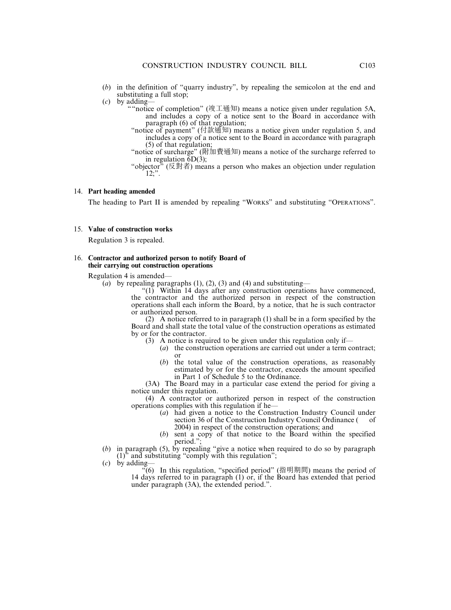- (*b*) in the definition of "quarry industry", by repealing the semicolon at the end and substituting a full stop;
- (*c*) by adding—
	- ""notice of completion" (竣工通知) means a notice given under regulation 5A, and includes a copy of a notice sent to the Board in accordance with paragraph (6) of that regulation;
	- "notice of payment" (付款通知) means a notice given under regulation 5, and includes a copy of a notice sent to the Board in accordance with paragraph (5) of that regulation;
	- "notice of surcharge" (附加費通知) means a notice of the surcharge referred to in regulation  $\overline{6D(3)}$ ;
	- "objector" (反對者) means a person who makes an objection under regulation  $12$ ;".

#### 14. **Part heading amended**

The heading to Part II is amended by repealing "WORKS" and substituting "OPERATIONS".

#### 15. **Value of construction works**

Regulation 3 is repealed.

#### 16. **Contractor and authorized person to notify Board of their carrying out construction operations**

Regulation 4 is amended—

(*a*) by repealing paragraphs  $(1)$ ,  $(2)$ ,  $(3)$  and  $(4)$  and substituting—

"(1) Within 14 days after any construction operations have commenced, the contractor and the authorized person in respect of the construction operations shall each inform the Board, by a notice, that he is such contractor or authorized person.

(2) A notice referred to in paragraph (1) shall be in a form specified by the Board and shall state the total value of the construction operations as estimated by or for the contractor.

- (3) A notice is required to be given under this regulation only if—
	- (*a*) the construction operations are carried out under a term contract; or
	- (*b*) the total value of the construction operations, as reasonably estimated by or for the contractor, exceeds the amount specified in Part 1 of Schedule 5 to the Ordinance.

(3A) The Board may in a particular case extend the period for giving a notice under this regulation.

(4) A contractor or authorized person in respect of the construction operations complies with this regulation if he—

- (*a*) had given a notice to the Construction Industry Council under section 36 of the Construction Industry Council Ordinance ( 2004) in respect of the construction operations; and
- (*b*) sent a copy of that notice to the Board within the specified period."
- (*b*) in paragraph (5), by repealing "give a notice when required to do so by paragraph  $(1)$ <sup>t</sup> and substituting "comply with this regulation";
- (*c*) by adding—

 $\cdot$ <sup>6</sup>(6) In this regulation, "specified period" (指明期間) means the period of 14 days referred to in paragraph (1) or, if the Board has extended that period under paragraph (3A), the extended period.".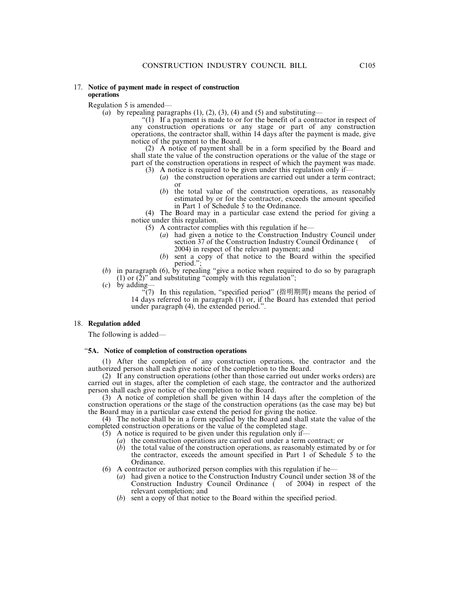#### 17. **Notice of payment made in respect of construction operations**

Regulation 5 is amended—

(*a*) by repealing paragraphs  $(1)$ ,  $(2)$ ,  $(3)$ ,  $(4)$  and  $(5)$  and substituting—

 $^{\prime\prime}(1)$ . If a payment is made to or for the benefit of a contractor in respect of any construction operations or any stage or part of any construction operations, the contractor shall, within 14 days after the payment is made, give notice of the payment to the Board.

(2) A notice of payment shall be in a form specified by the Board and shall state the value of the construction operations or the value of the stage or part of the construction operations in respect of which the payment was made.

- (3) A notice is required to be given under this regulation only if— (*a*) the construction operations are carried out under a term contract; or
	- (*b*) the total value of the construction operations, as reasonably estimated by or for the contractor, exceeds the amount specified in Part 1 of Schedule 5 to the Ordinance.

(4) The Board may in a particular case extend the period for giving a notice under this regulation.

- (5) A contractor complies with this regulation if he—
	- (*a*) had given a notice to the Construction Industry Council under section 37 of the Construction Industry Council Ordinance ( of 2004) in respect of the relevant payment; and
	- (*b*) sent a copy of that notice to the Board within the specified period.";
- (*b*) in paragraph (6), by repealing "give a notice when required to do so by paragraph (1) or  $(2)$ " and substituting "comply with this regulation";
- (*c*) by adding—

 $\sqrt{\ }$ (7) In this regulation, "specified period" (指明期間) means the period of 14 days referred to in paragraph (1) or, if the Board has extended that period under paragraph (4), the extended period.".

#### 18. **Regulation added**

The following is added—

#### "**5A. Notice of completion of construction operations**

(1) After the completion of any construction operations, the contractor and the authorized person shall each give notice of the completion to the Board.

(2) If any construction operations (other than those carried out under works orders) are carried out in stages, after the completion of each stage, the contractor and the authorized person shall each give notice of the completion to the Board.

(3) A notice of completion shall be given within 14 days after the completion of the construction operations or the stage of the construction operations (as the case may be) but the Board may in a particular case extend the period for giving the notice.

(4) The notice shall be in a form specified by the Board and shall state the value of the completed construction operations or the value of the completed stage.

- $(5)$  A notice is required to be given under this regulation only if—
	- (*a*) the construction operations are carried out under a term contract; or
	- (*b*) the total value of the construction operations, as reasonably estimated by or for the contractor, exceeds the amount specified in Part 1 of Schedule 5 to the Ordinance.
- (6) A contractor or authorized person complies with this regulation if he—
	- (*a*) had given a notice to the Construction Industry Council under section 38 of the Construction Industry Council Ordinance ( of 2004) in respect of the relevant completion; and
	- (*b*) sent a copy of that notice to the Board within the specified period.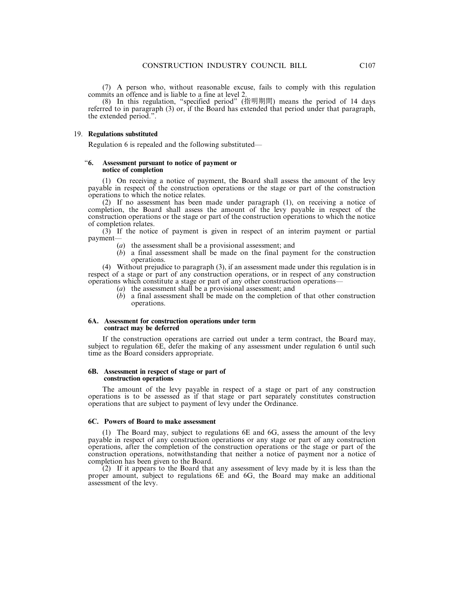(8) In this regulation, "specified period" (指明期間) means the period of 14 days referred to in paragraph (3) or, if the Board has extended that period under that paragraph, the extended period.".

#### 19. **Regulations substituted**

Regulation 6 is repealed and the following substituted—

#### "**6. Assessment pursuant to notice of payment or notice of completion**

(1) On receiving a notice of payment, the Board shall assess the amount of the levy payable in respect of the construction operations or the stage or part of the construction operations to which the notice relates.

(2) If no assessment has been made under paragraph (1), on receiving a notice of completion, the Board shall assess the amount of the levy payable in respect of the construction operations or the stage or part of the construction operations to which the notice of completion relates.

(3) If the notice of payment is given in respect of an interim payment or partial payment—

- (*a*) the assessment shall be a provisional assessment; and
- (*b*) a final assessment shall be made on the final payment for the construction operations.

(4) Without prejudice to paragraph (3), if an assessment made under this regulation is in respect of a stage or part of any construction operations, or in respect of any construction operations which constitute a stage or part of any other construction operations—

- (*a*) the assessment shall be a provisional assessment; and
- (*b*) a final assessment shall be made on the completion of that other construction operations.

#### **6A. Assessment for construction operations under term contract may be deferred**

If the construction operations are carried out under a term contract, the Board may, subject to regulation 6E, defer the making of any assessment under regulation 6 until such time as the Board considers appropriate.

#### **6B. Assessment in respect of stage or part of construction operations**

The amount of the levy payable in respect of a stage or part of any construction operations is to be assessed as if that stage or part separately constitutes construction operations that are subject to payment of levy under the Ordinance.

#### **6C. Powers of Board to make assessment**

(1) The Board may, subject to regulations 6E and 6G, assess the amount of the levy payable in respect of any construction operations or any stage or part of any construction operations, after the completion of the construction operations or the stage or part of the construction operations, notwithstanding that neither a notice of payment nor a notice of completion has been given to the Board.

 $(2)$  If it appears to the Board that any assessment of levy made by it is less than the proper amount, subject to regulations 6E and 6G, the Board may make an additional assessment of the levy.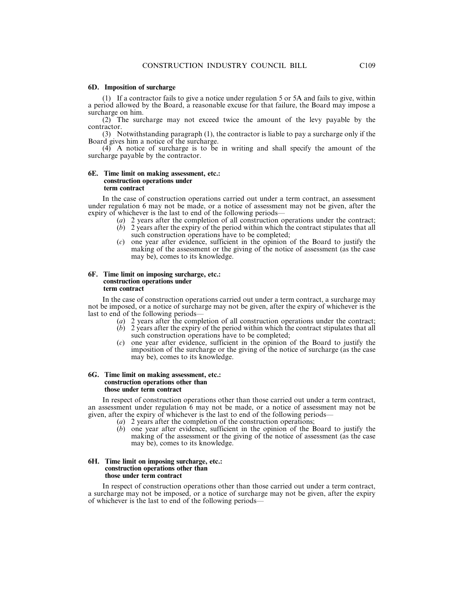#### **6D. Imposition of surcharge**

(1) If a contractor fails to give a notice under regulation 5 or 5A and fails to give, within a period allowed by the Board, a reasonable excuse for that failure, the Board may impose a surcharge on him.

(2) The surcharge may not exceed twice the amount of the levy payable by the contractor.

(3) Notwithstanding paragraph (1), the contractor is liable to pay a surcharge only if the Board gives him a notice of the surcharge.

(4) A notice of surcharge is to be in writing and shall specify the amount of the surcharge payable by the contractor.

#### **6E. Time limit on making assessment, etc.: construction operations under term contract**

In the case of construction operations carried out under a term contract, an assessment under regulation 6 may not be made, or a notice of assessment may not be given, after the expiry of whichever is the last to end of the following periods—

- (*a*) 2 years after the completion of all construction operations under the contract;
- $(b)$  2 years after the expiry of the period within which the contract stipulates that all such construction operations have to be completed;
- (*c*) one year after evidence, sufficient in the opinion of the Board to justify the making of the assessment or the giving of the notice of assessment (as the case may be), comes to its knowledge.

#### **6F. Time limit on imposing surcharge, etc.: construction operations under term contract**

In the case of construction operations carried out under a term contract, a surcharge may not be imposed, or a notice of surcharge may not be given, after the expiry of whichever is the last to end of the following periods—

- (*a*) 2 years after the completion of all construction operations under the contract;
- $(b)$  2 years after the expiry of the period within which the contract stipulates that all such construction operations have to be completed;
- (*c*) one year after evidence, sufficient in the opinion of the Board to justify the imposition of the surcharge or the giving of the notice of surcharge (as the case may be), comes to its knowledge.

#### **6G. Time limit on making assessment, etc.: construction operations other than those under term contract**

In respect of construction operations other than those carried out under a term contract, an assessment under regulation 6 may not be made, or a notice of assessment may not be given, after the expiry of whichever is the last to end of the following periods—

- (*a*) 2 years after the completion of the construction operations;
- (*b*) one year after evidence, sufficient in the opinion of the Board to justify the making of the assessment or the giving of the notice of assessment (as the case may be), comes to its knowledge.

#### **6H. Time limit on imposing surcharge, etc.: construction operations other than those under term contract**

In respect of construction operations other than those carried out under a term contract, a surcharge may not be imposed, or a notice of surcharge may not be given, after the expiry of whichever is the last to end of the following periods—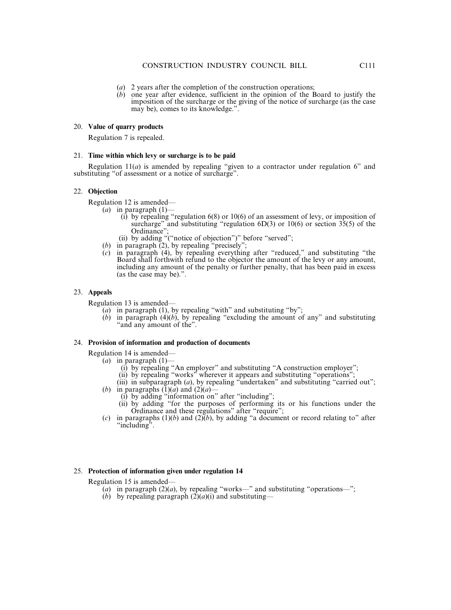- (*a*) 2 years after the completion of the construction operations;
- (*b*) one year after evidence, sufficient in the opinion of the Board to justify the imposition of the surcharge or the giving of the notice of surcharge (as the case may be), comes to its knowledge.".

#### 20. **Value of quarry products**

Regulation 7 is repealed.

#### 21. **Time within which levy or surcharge is to be paid**

Regulation 11(*a*) is amended by repealing "given to a contractor under regulation 6" and substituting "of assessment or a notice of surcharge".

#### 22. **Objection**

Regulation 12 is amended—

- (*a*) in paragraph  $(1)$ -
	- (i) by repealing "regulation 6(8) or 10(6) of an assessment of levy, or imposition of surcharge" and substituting "regulation  $6D(3)$  or  $10(6)$  or section  $35(5)$  of the Ordinance":
	- (ii) by adding "("notice of objection")" before "served";
- (*b*) in paragraph (2), by repealing "precisely";
- (*c*) in paragraph (4), by repealing everything after "reduced," and substituting "the Board shall forthwith refund to the objector the amount of the levy or any amount, including any amount of the penalty or further penalty, that has been paid in excess (as the case may be).".

#### 23. **Appeals**

Regulation 13 is amended—

- (*a*) in paragraph (1), by repealing "with" and substituting "by";
- (*b*) in paragraph  $(4)(b)$ , by repealing "excluding the amount of any" and substituting "and any amount of the".

#### 24. **Provision of information and production of documents**

Regulation 14 is amended—

- (*a*) in paragraph (1)—
	- (i) by repealing "An employer" and substituting "A construction employer";
	- (ii) by repealing "works" wherever it appears and substituting "operations";
- (iii) in subparagraph (*a*), by repealing "undertaken" and substituting "carried out"; (*b*) in paragraphs  $(1)(a)$  and  $(2)(a)$ —
	- (i) by adding "information on" after "including";
	- (ii) by adding "for the purposes of performing its or his functions under the Ordinance and these regulations" after "require":
- (*c*) in paragraphs (1)(*b*) and (2) $(b)$ , by adding "a document or record relating to" after "including".

#### 25. **Protection of information given under regulation 14**

Regulation 15 is amended—

- (*a*) in paragraph  $(2)(a)$ , by repealing "works—" and substituting "operations—";
- (*b*) by repealing paragraph  $(2)(a)(i)$  and substituting—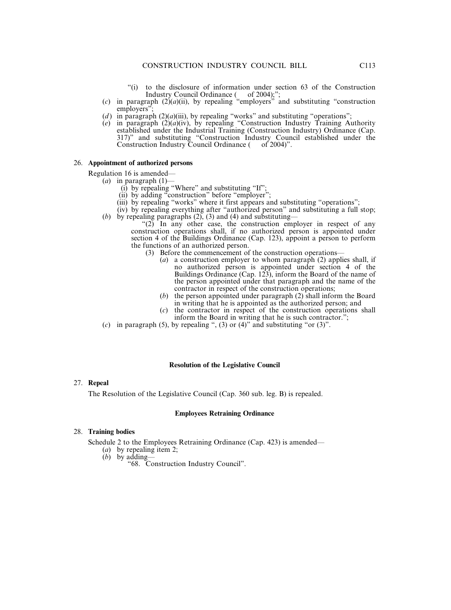- "(i) to the disclosure of information under section 63 of the Construction Industry Council Ordinance ( of 2004);";
- (*c*) in paragraph  $(2)(a)(ii)$ , by repealing "employers" and substituting "construction employers"
- (*d*) in paragraph  $(2)(a)(iii)$ , by repealing "works" and substituting "operations";
- $(e)$  in paragraph  $(2)(a)(iv)$ , by repealing "Construction Industry Training Authority established under the Industrial Training (Construction Industry) Ordinance (Cap. 317)" and substituting "Construction Industry Council established under the Construction Industry Council Ordinance ( of 2004)".

#### 26. **Appointment of authorized persons**

Regulation 16 is amended—

- (*a*) in paragraph (1)—
	- $(i)$  by repealing "Where" and substituting "If";
	- (ii) by adding "construction" before "employer":
	- (iii) by repealing "works" where it first appears and substituting "operations";
- (iv) by repealing everything after "authorized person" and substituting a full stop; (*b*) by repealing paragraphs (2), (3) and (4) and substituting—

" $(2)$  In any other case, the construction employer in respect of any construction operations shall, if no authorized person is appointed under section 4 of the Buildings Ordinance (Cap. 123), appoint a person to perform the functions of an authorized person.

- (3) Before the commencement of the construction operations—
	- (*a*) a construction employer to whom paragraph (2) applies shall, if no authorized person is appointed under section 4 of the Buildings Ordinance (Cap. 123), inform the Board of the name of the person appointed under that paragraph and the name of the contractor in respect of the construction operations;
	- (*b*) the person appointed under paragraph (2) shall inform the Board in writing that he is appointed as the authorized person; and
	- (*c*) the contractor in respect of the construction operations shall inform the Board in writing that he is such contractor.";
- (*c*) in paragraph (5), by repealing ", (3) or (4)" and substituting "or (3)".

#### **Resolution of the Legislative Council**

#### 27. **Repeal**

The Resolution of the Legislative Council (Cap. 360 sub. leg. B) is repealed.

#### **Employees Retraining Ordinance**

#### 28. **Training bodies**

Schedule 2 to the Employees Retraining Ordinance (Cap. 423) is amended—

- (*a*) by repealing item 2;
- (*b*) by adding—
	- "68. Construction Industry Council".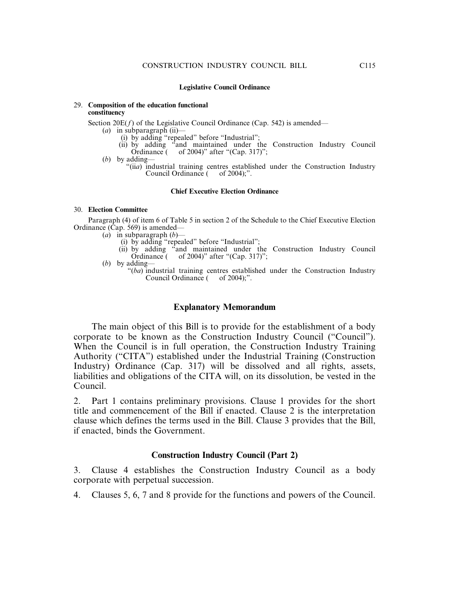#### **Legislative Council Ordinance**

#### 29. **Composition of the education functional constituency**

Section  $20E(f)$  of the Legislative Council Ordinance (Cap. 542) is amended—

- (*a*) in subparagraph (ii)—
	- (i) by adding "repealed" before "Industrial";
	- (ii) by adding "and maintained under the Construction Industry Council Ordinance ( of 2004)" after "(Cap. 317)";
- (*b*) by adding—
	- "(ii*a*) industrial training centres established under the Construction Industry<br>Council Ordinance ( of 2004):". Council Ordinance (

#### **Chief Executive Election Ordinance**

#### 30. **Election Committee**

Paragraph (4) of item 6 of Table 5 in section 2 of the Schedule to the Chief Executive Election Ordinance (Cap. 569) is amended—

- $(a)$  in subparagraph  $(b)$ 
	- (i) by adding "repealed" before "Industrial";
	- (ii) by adding "and maintained under the Construction Industry Council Ordinance ( of 2004)" after "(Cap. 317)";
- (*b*) by adding—
	- "(*ba*) industrial training centres established under the Construction Industry Council Ordinance ( of 2004);".

#### **Explanatory Memorandum**

The main object of this Bill is to provide for the establishment of a body corporate to be known as the Construction Industry Council ("Council"). When the Council is in full operation, the Construction Industry Training Authority ("CITA") established under the Industrial Training (Construction Industry) Ordinance (Cap. 317) will be dissolved and all rights, assets, liabilities and obligations of the CITA will, on its dissolution, be vested in the Council.

2. Part 1 contains preliminary provisions. Clause 1 provides for the short title and commencement of the Bill if enacted. Clause 2 is the interpretation clause which defines the terms used in the Bill. Clause 3 provides that the Bill, if enacted, binds the Government.

### **Construction Industry Council (Part 2)**

3. Clause 4 establishes the Construction Industry Council as a body corporate with perpetual succession.

4. Clauses 5, 6, 7 and 8 provide for the functions and powers of the Council.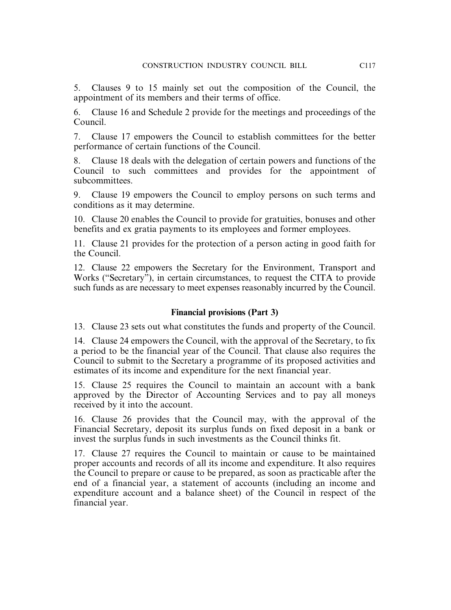5. Clauses 9 to 15 mainly set out the composition of the Council, the appointment of its members and their terms of office.

6. Clause 16 and Schedule 2 provide for the meetings and proceedings of the Council.

7. Clause 17 empowers the Council to establish committees for the better performance of certain functions of the Council.

8. Clause 18 deals with the delegation of certain powers and functions of the Council to such committees and provides for the appointment of subcommittees.

9. Clause 19 empowers the Council to employ persons on such terms and conditions as it may determine.

10. Clause 20 enables the Council to provide for gratuities, bonuses and other benefits and ex gratia payments to its employees and former employees.

11. Clause 21 provides for the protection of a person acting in good faith for the Council.

12. Clause 22 empowers the Secretary for the Environment, Transport and Works ("Secretary"), in certain circumstances, to request the CITA to provide such funds as are necessary to meet expenses reasonably incurred by the Council.

## **Financial provisions (Part 3)**

13. Clause 23 sets out what constitutes the funds and property of the Council.

14. Clause 24 empowers the Council, with the approval of the Secretary, to fix a period to be the financial year of the Council. That clause also requires the Council to submit to the Secretary a programme of its proposed activities and estimates of its income and expenditure for the next financial year.

15. Clause 25 requires the Council to maintain an account with a bank approved by the Director of Accounting Services and to pay all moneys received by it into the account.

16. Clause 26 provides that the Council may, with the approval of the Financial Secretary, deposit its surplus funds on fixed deposit in a bank or invest the surplus funds in such investments as the Council thinks fit.

17. Clause 27 requires the Council to maintain or cause to be maintained proper accounts and records of all its income and expenditure. It also requires the Council to prepare or cause to be prepared, as soon as practicable after the end of a financial year, a statement of accounts (including an income and expenditure account and a balance sheet) of the Council in respect of the financial year.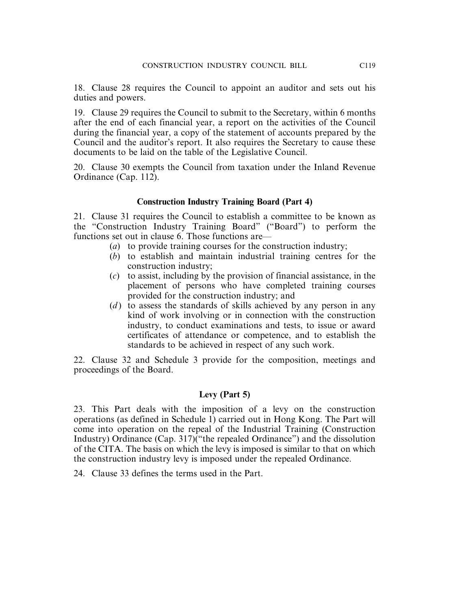18. Clause 28 requires the Council to appoint an auditor and sets out his duties and powers.

19. Clause 29 requires the Council to submit to the Secretary, within 6 months after the end of each financial year, a report on the activities of the Council during the financial year, a copy of the statement of accounts prepared by the Council and the auditor's report. It also requires the Secretary to cause these documents to be laid on the table of the Legislative Council.

20. Clause 30 exempts the Council from taxation under the Inland Revenue Ordinance (Cap. 112).

### **Construction Industry Training Board (Part 4)**

21. Clause 31 requires the Council to establish a committee to be known as the "Construction Industry Training Board" ("Board") to perform the functions set out in clause 6. Those functions are—

- (*a*) to provide training courses for the construction industry;
- (*b*) to establish and maintain industrial training centres for the construction industry;
- (*c*) to assist, including by the provision of financial assistance, in the placement of persons who have completed training courses provided for the construction industry; and
- (*d*) to assess the standards of skills achieved by any person in any kind of work involving or in connection with the construction industry, to conduct examinations and tests, to issue or award certificates of attendance or competence, and to establish the standards to be achieved in respect of any such work.

22. Clause 32 and Schedule 3 provide for the composition, meetings and proceedings of the Board.

### **Levy (Part 5)**

23. This Part deals with the imposition of a levy on the construction operations (as defined in Schedule 1) carried out in Hong Kong. The Part will come into operation on the repeal of the Industrial Training (Construction Industry) Ordinance (Cap. 317)("the repealed Ordinance") and the dissolution of the CITA. The basis on which the levy is imposed is similar to that on which the construction industry levy is imposed under the repealed Ordinance.

24. Clause 33 defines the terms used in the Part.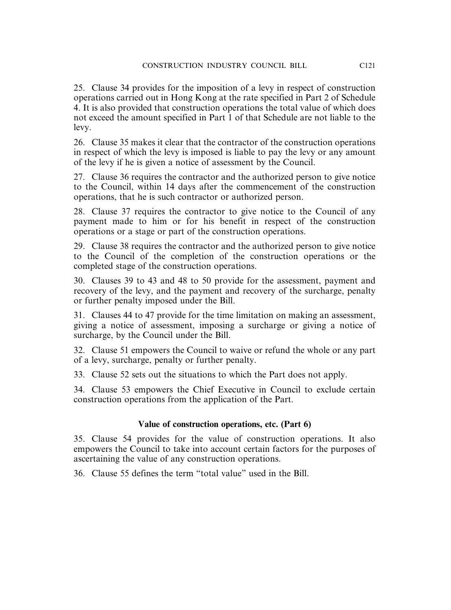25. Clause 34 provides for the imposition of a levy in respect of construction operations carried out in Hong Kong at the rate specified in Part 2 of Schedule 4. It is also provided that construction operations the total value of which does not exceed the amount specified in Part 1 of that Schedule are not liable to the levy.

26. Clause 35 makes it clear that the contractor of the construction operations in respect of which the levy is imposed is liable to pay the levy or any amount of the levy if he is given a notice of assessment by the Council.

27. Clause 36 requires the contractor and the authorized person to give notice to the Council, within 14 days after the commencement of the construction operations, that he is such contractor or authorized person.

28. Clause 37 requires the contractor to give notice to the Council of any payment made to him or for his benefit in respect of the construction operations or a stage or part of the construction operations.

29. Clause 38 requires the contractor and the authorized person to give notice to the Council of the completion of the construction operations or the completed stage of the construction operations.

30. Clauses 39 to 43 and 48 to 50 provide for the assessment, payment and recovery of the levy, and the payment and recovery of the surcharge, penalty or further penalty imposed under the Bill.

31. Clauses 44 to 47 provide for the time limitation on making an assessment, giving a notice of assessment, imposing a surcharge or giving a notice of surcharge, by the Council under the Bill.

32. Clause 51 empowers the Council to waive or refund the whole or any part of a levy, surcharge, penalty or further penalty.

33. Clause 52 sets out the situations to which the Part does not apply.

34. Clause 53 empowers the Chief Executive in Council to exclude certain construction operations from the application of the Part.

## **Value of construction operations, etc. (Part 6)**

35. Clause 54 provides for the value of construction operations. It also empowers the Council to take into account certain factors for the purposes of ascertaining the value of any construction operations.

36. Clause 55 defines the term "total value" used in the Bill.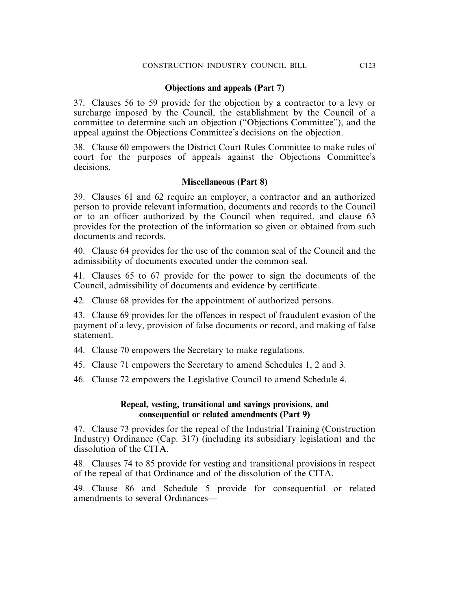### **Objections and appeals (Part 7)**

37. Clauses 56 to 59 provide for the objection by a contractor to a levy or surcharge imposed by the Council, the establishment by the Council of a committee to determine such an objection ("Objections Committee"), and the appeal against the Objections Committee's decisions on the objection.

38. Clause 60 empowers the District Court Rules Committee to make rules of court for the purposes of appeals against the Objections Committee's decisions.

### **Miscellaneous (Part 8)**

39. Clauses 61 and 62 require an employer, a contractor and an authorized person to provide relevant information, documents and records to the Council or to an officer authorized by the Council when required, and clause 63 provides for the protection of the information so given or obtained from such documents and records.

40. Clause 64 provides for the use of the common seal of the Council and the admissibility of documents executed under the common seal.

41. Clauses 65 to 67 provide for the power to sign the documents of the Council, admissibility of documents and evidence by certificate.

42. Clause 68 provides for the appointment of authorized persons.

43. Clause 69 provides for the offences in respect of fraudulent evasion of the payment of a levy, provision of false documents or record, and making of false statement.

44. Clause 70 empowers the Secretary to make regulations.

45. Clause 71 empowers the Secretary to amend Schedules 1, 2 and 3.

46. Clause 72 empowers the Legislative Council to amend Schedule 4.

### **Repeal, vesting, transitional and savings provisions, and consequential or related amendments (Part 9)**

47. Clause 73 provides for the repeal of the Industrial Training (Construction Industry) Ordinance (Cap. 317) (including its subsidiary legislation) and the dissolution of the CITA.

48. Clauses 74 to 85 provide for vesting and transitional provisions in respect of the repeal of that Ordinance and of the dissolution of the CITA.

49. Clause 86 and Schedule 5 provide for consequential or related amendments to several Ordinances—